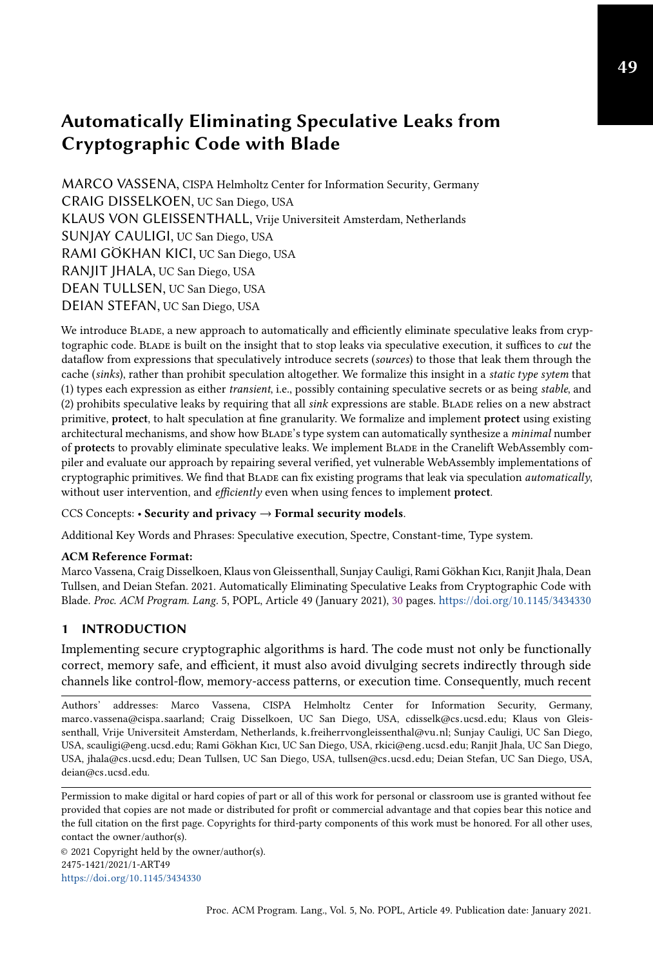MARCO VASSENA, CISPA Helmholtz Center for Information Security, Germany CRAIG DISSELKOEN, UC San Diego, USA KLAUS VON GLEISSENTHALL, Vrije Universiteit Amsterdam, Netherlands SUNJAY CAULIGI, UC San Diego, USA RAMI GÖKHAN KICI, UC San Diego, USA RANJIT JHALA, UC San Diego, USA DEAN TULLSEN, UC San Diego, USA DEIAN STEFAN, UC San Diego, USA

We introduce Blade, a new approach to automatically and efficiently eliminate speculative leaks from cryptographic code. BLADE is built on the insight that to stop leaks via speculative execution, it suffices to *cut* the dataflow from expressions that speculatively introduce secrets (sources) to those that leak them through the cache (sinks), rather than prohibit speculation altogether. We formalize this insight in a static type sytem that (1) types each expression as either transient, i.e., possibly containing speculative secrets or as being stable, and (2) prohibits speculative leaks by requiring that all  $sink$  expressions are stable. BLADE relies on a new abstract primitive, protect, to halt speculation at fine granularity. We formalize and implement protect using existing architectural mechanisms, and show how BLADE's type system can automatically synthesize a minimal number of protects to provably eliminate speculative leaks. We implement Blade in the Cranelift WebAssembly compiler and evaluate our approach by repairing several verified, yet vulnerable WebAssembly implementations of cryptographic primitives. We find that Blade can fix existing programs that leak via speculation automatically, without user intervention, and *efficiently* even when using fences to implement protect.

#### CCS Concepts: • Security and privacy  $\rightarrow$  Formal security models.

Additional Key Words and Phrases: Speculative execution, Spectre, Constant-time, Type system.

#### ACM Reference Format:

Marco Vassena, Craig Disselkoen, Klaus von Gleissenthall, Sunjay Cauligi, Rami Gökhan Kıcı, Ranjit Jhala, Dean Tullsen, and Deian Stefan. 2021. Automatically Eliminating Speculative Leaks from Cryptographic Code with Blade. Proc. ACM Program. Lang. 5, POPL, Article 49 (January 2021), [30](#page-29-0) pages. https://doi.org/10.[1145/3434330](https://doi.org/10.1145/3434330)

# 1 INTRODUCTION

Implementing secure cryptographic algorithms is hard. The code must not only be functionally correct, memory safe, and efficient, it must also avoid divulging secrets indirectly through side channels like control-flow, memory-access patterns, or execution time. Consequently, much recent

Authors' addresses: Marco Vassena, CISPA Helmholtz Center for Information Security, Germany, marco.vassena@cispa.saarland; Craig Disselkoen, UC San Diego, USA, cdisselk@cs.ucsd.edu; Klaus von Gleissenthall, Vrije Universiteit Amsterdam, Netherlands, k.freiherrvongleissenthal@vu.nl; Sunjay Cauligi, UC San Diego, USA, scauligi@eng.ucsd.edu; Rami Gökhan Kıcı, UC San Diego, USA, rkici@eng.ucsd.edu; Ranjit Jhala, UC San Diego, USA, jhala@cs.ucsd.edu; Dean Tullsen, UC San Diego, USA, tullsen@cs.ucsd.edu; Deian Stefan, UC San Diego, USA, deian@cs.ucsd.edu.

Permission to make digital or hard copies of part or all of this work for personal or classroom use is granted without fee provided that copies are not made or distributed for profit or commercial advantage and that copies bear this notice and the full citation on the first page. Copyrights for third-party components of this work must be honored. For all other uses, contact the owner/author(s).

© 2021 Copyright held by the owner/author(s). 2475-1421/2021/1-ART49 https://doi.org/10.[1145/3434330](https://doi.org/10.1145/3434330)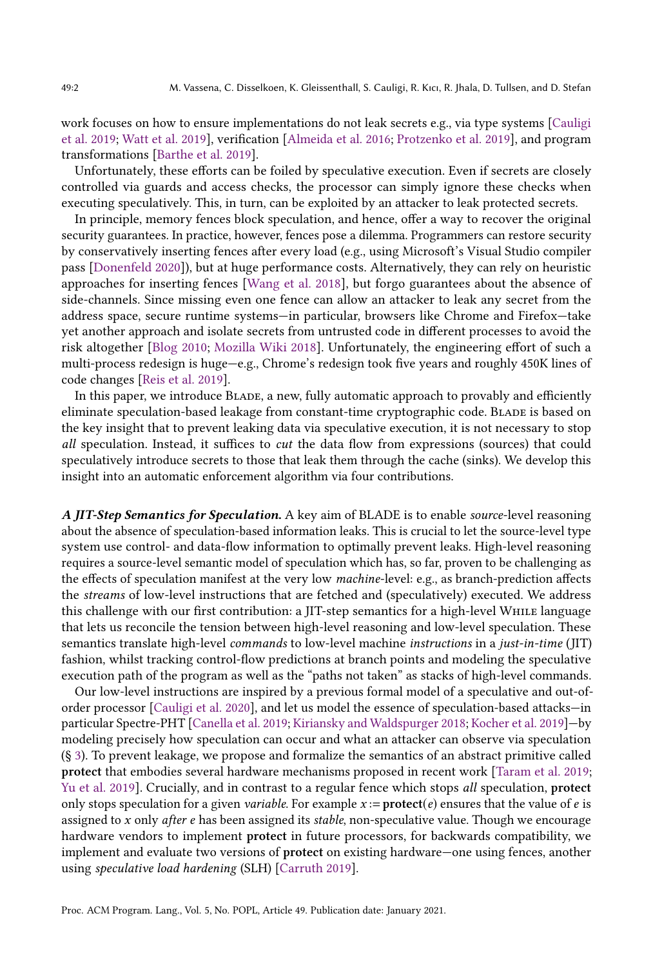work focuses on how to ensure implementations do not leak secrets e.g., via type systems [\[Cauligi](#page-27-0) [et al.](#page-27-0) [2019;](#page-27-0) [Watt et al.](#page-29-1) [2019\]](#page-29-1), verification [\[Almeida et al.](#page-27-1) [2016;](#page-27-1) [Protzenko et al.](#page-28-0) [2019\]](#page-28-0), and program transformations [\[Barthe et al.](#page-27-2) [2019\]](#page-27-2).

Unfortunately, these efforts can be foiled by speculative execution. Even if secrets are closely controlled via guards and access checks, the processor can simply ignore these checks when executing speculatively. This, in turn, can be exploited by an attacker to leak protected secrets.

In principle, memory fences block speculation, and hence, offer a way to recover the original security guarantees. In practice, however, fences pose a dilemma. Programmers can restore security by conservatively inserting fences after every load (e.g., using Microsoft's Visual Studio compiler pass [\[Donenfeld](#page-27-3) [2020\]](#page-27-3)), but at huge performance costs. Alternatively, they can rely on heuristic approaches for inserting fences [\[Wang et al.](#page-29-2) [2018\]](#page-29-2), but forgo guarantees about the absence of side-channels. Since missing even one fence can allow an attacker to leak any secret from the address space, secure runtime systems—in particular, browsers like Chrome and Firefox—take yet another approach and isolate secrets from untrusted code in different processes to avoid the risk altogether [\[Blog](#page-27-4) [2010;](#page-27-4) [Mozilla Wiki](#page-28-1) [2018\]](#page-28-1). Unfortunately, the engineering effort of such a multi-process redesign is huge—e.g., Chrome's redesign took five years and roughly 450K lines of code changes [\[Reis et al.](#page-28-2) [2019\]](#page-28-2).

In this paper, we introduce BLADE, a new, fully automatic approach to provably and efficiently eliminate speculation-based leakage from constant-time cryptographic code. BLADE is based on the key insight that to prevent leaking data via speculative execution, it is not necessary to stop all speculation. Instead, it suffices to cut the data flow from expressions (sources) that could speculatively introduce secrets to those that leak them through the cache (sinks). We develop this insight into an automatic enforcement algorithm via four contributions.

A JIT-Step Semantics for Speculation. A key aim of BLADE is to enable source-level reasoning about the absence of speculation-based information leaks. This is crucial to let the source-level type system use control- and data-flow information to optimally prevent leaks. High-level reasoning requires a source-level semantic model of speculation which has, so far, proven to be challenging as the effects of speculation manifest at the very low machine-level: e.g., as branch-prediction affects the streams of low-level instructions that are fetched and (speculatively) executed. We address this challenge with our first contribution: a JIT-step semantics for a high-level While language that lets us reconcile the tension between high-level reasoning and low-level speculation. These semantics translate high-level commands to low-level machine instructions in a just-in-time (JIT) fashion, whilst tracking control-flow predictions at branch points and modeling the speculative execution path of the program as well as the "paths not taken" as stacks of high-level commands.

Our low-level instructions are inspired by a previous formal model of a speculative and out-oforder processor [\[Cauligi et al.](#page-27-5) [2020\]](#page-27-5), and let us model the essence of speculation-based attacks—in particular Spectre-PHT [\[Canella et al.](#page-27-6) [2019;](#page-27-6) [Kiriansky and Waldspurger](#page-28-3) [2018;](#page-28-3) [Kocher et al.](#page-28-4) [2019\]](#page-28-4)—by modeling precisely how speculation can occur and what an attacker can observe via speculation (§ [3\)](#page-7-0). To prevent leakage, we propose and formalize the semantics of an abstract primitive called protect that embodies several hardware mechanisms proposed in recent work [\[Taram et al.](#page-28-5) [2019;](#page-28-5) [Yu et al.](#page-29-3) [2019\]](#page-29-3). Crucially, and in contrast to a regular fence which stops all speculation, protect only stops speculation for a given *variable*. For example  $x :=$ **protect**(*e*) ensures that the value of *e* is assigned to  $x$  only after  $e$  has been assigned its stable, non-speculative value. Though we encourage hardware vendors to implement protect in future processors, for backwards compatibility, we implement and evaluate two versions of protect on existing hardware—one using fences, another using speculative load hardening (SLH) [\[Carruth](#page-27-7) [2019\]](#page-27-7).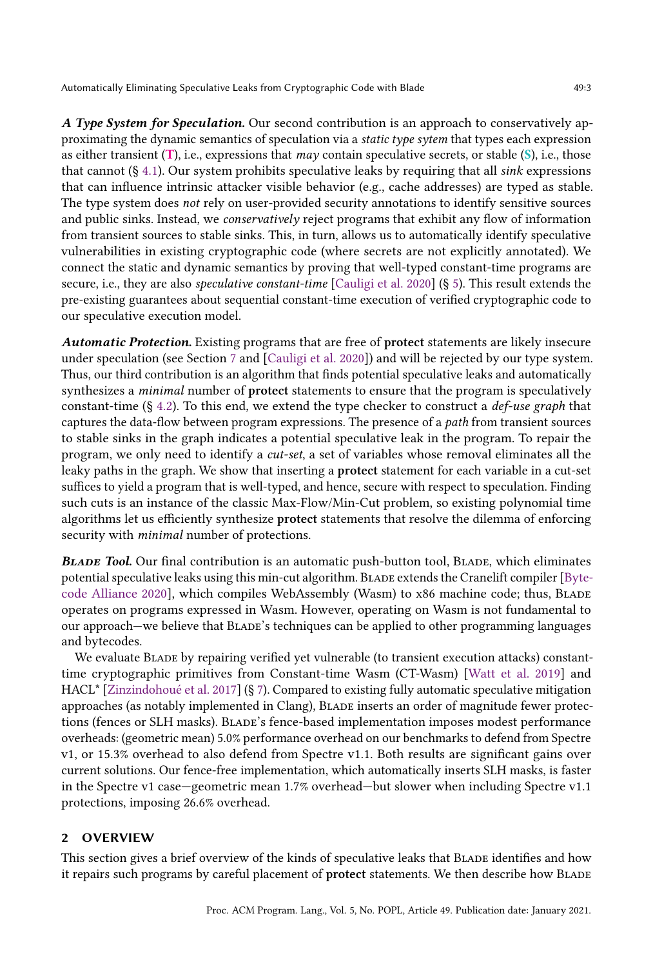A Type System for Speculation. Our second contribution is an approach to conservatively approximating the dynamic semantics of speculation via a static type sytem that types each expression as either transient  $(T)$ , i.e., expressions that *may* contain speculative secrets, or stable  $(S)$ , i.e., those that cannot  $(\S 4.1)$  $(\S 4.1)$ . Our system prohibits speculative leaks by requiring that all sink expressions that can influence intrinsic attacker visible behavior (e.g., cache addresses) are typed as stable. The type system does not rely on user-provided security annotations to identify sensitive sources and public sinks. Instead, we conservatively reject programs that exhibit any flow of information from transient sources to stable sinks. This, in turn, allows us to automatically identify speculative vulnerabilities in existing cryptographic code (where secrets are not explicitly annotated). We connect the static and dynamic semantics by proving that well-typed constant-time programs are secure, i.e., they are also speculative constant-time [\[Cauligi et al.](#page-27-5) [2020\]](#page-27-5) (§ [5\)](#page-19-0). This result extends the pre-existing guarantees about sequential constant-time execution of verified cryptographic code to our speculative execution model.

Automatic Protection. Existing programs that are free of protect statements are likely insecure under speculation (see Section [7](#page-22-0) and [\[Cauligi et al.](#page-27-5) [2020\]](#page-27-5)) and will be rejected by our type system. Thus, our third contribution is an algorithm that finds potential speculative leaks and automatically synthesizes a *minimal* number of **protect** statements to ensure that the program is speculatively constant-time  $(\S 4.2)$  $(\S 4.2)$ . To this end, we extend the type checker to construct a *def-use graph* that captures the data-flow between program expressions. The presence of a path from transient sources to stable sinks in the graph indicates a potential speculative leak in the program. To repair the program, we only need to identify a cut-set, a set of variables whose removal eliminates all the leaky paths in the graph. We show that inserting a protect statement for each variable in a cut-set suffices to yield a program that is well-typed, and hence, secure with respect to speculation. Finding such cuts is an instance of the classic Max-Flow/Min-Cut problem, so existing polynomial time algorithms let us efficiently synthesize protect statements that resolve the dilemma of enforcing security with minimal number of protections.

BLADE Tool. Our final contribution is an automatic push-button tool, BLADE, which eliminates potential speculative leaks using this min-cut algorithm. Blade extends the Cranelift compiler [\[Byte](#page-27-8)[code Alliance](#page-27-8) [2020\]](#page-27-8), which compiles WebAssembly (Wasm) to x86 machine code; thus, BLADE operates on programs expressed in Wasm. However, operating on Wasm is not fundamental to our approach—we believe that Blade's techniques can be applied to other programming languages and bytecodes.

We evaluate Blade by repairing verified yet vulnerable (to transient execution attacks) constanttime cryptographic primitives from Constant-time Wasm (CT-Wasm) [\[Watt et al.](#page-29-1) [2019\]](#page-29-1) and HACL\* [\[Zinzindohoué et al.](#page-29-4) [2017\]](#page-29-4) (§ [7\)](#page-22-0). Compared to existing fully automatic speculative mitigation approaches (as notably implemented in Clang), Blade inserts an order of magnitude fewer protections (fences or SLH masks). Blade's fence-based implementation imposes modest performance overheads: (geometric mean) 5.0% performance overhead on our benchmarks to defend from Spectre v1, or 15.3% overhead to also defend from Spectre v1.1. Both results are significant gains over current solutions. Our fence-free implementation, which automatically inserts SLH masks, is faster in the Spectre v1 case—geometric mean 1.7% overhead—but slower when including Spectre v1.1 protections, imposing 26.6% overhead.

# 2 OVERVIEW

This section gives a brief overview of the kinds of speculative leaks that BLADE identifies and how it repairs such programs by careful placement of protect statements. We then describe how BLADE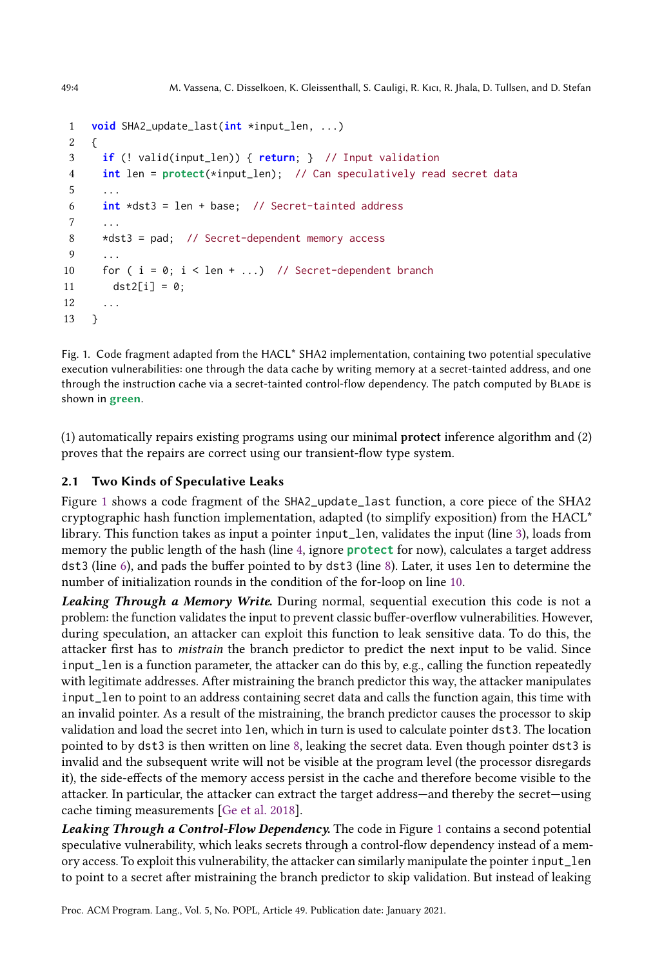```
1 void SHA2_update_last(int *input_len, ...)
2 {
3 if (! valid(input_len)) { return; } // Input validation
4 int len = protect(*input_len); // Can speculatively read secret data
5
6 int *dst3 = len + base; // Secret-tainted address
 7 ...
8 *dst3 = pad; // Secret-dependent memory access
9 ...
10 for (i = 0; i < len + ...) // Secret-dependent branch
11 dst2[i] = 0;12 ...
13 }
```
<span id="page-3-5"></span>Fig. 1. Code fragment adapted from the HACL\* SHA2 implementation, containing two potential speculative execution vulnerabilities: one through the data cache by writing memory at a secret-tainted address, and one through the instruction cache via a secret-tainted control-flow dependency. The patch computed by Blade is shown in green.

(1) automatically repairs existing programs using our minimal protect inference algorithm and (2) proves that the repairs are correct using our transient-flow type system.

# <span id="page-3-6"></span>2.1 Two Kinds of Speculative Leaks

Figure [1](#page-3-0) shows a code fragment of the SHA2\_update\_last function, a core piece of the SHA2 cryptographic hash function implementation, adapted (to simplify exposition) from the HACL\* library. This function takes as input a pointer input\_len, validates the input (line [3\)](#page-3-1), loads from memory the public length of the hash (line [4,](#page-3-2) ignore **protect** for now), calculates a target address dst3 (line [6\)](#page-3-3), and pads the buffer pointed to by dst3 (line [8\)](#page-3-4). Later, it uses len to determine the number of initialization rounds in the condition of the for-loop on line [10.](#page-3-5)

Leaking Through a Memory Write. During normal, sequential execution this code is not a problem: the function validates the input to prevent classic buffer-overflow vulnerabilities. However, during speculation, an attacker can exploit this function to leak sensitive data. To do this, the attacker first has to mistrain the branch predictor to predict the next input to be valid. Since input\_len is a function parameter, the attacker can do this by, e.g., calling the function repeatedly with legitimate addresses. After mistraining the branch predictor this way, the attacker manipulates input\_len to point to an address containing secret data and calls the function again, this time with an invalid pointer. As a result of the mistraining, the branch predictor causes the processor to skip validation and load the secret into len, which in turn is used to calculate pointer dst3. The location pointed to by dst3 is then written on line [8,](#page-3-4) leaking the secret data. Even though pointer dst3 is invalid and the subsequent write will not be visible at the program level (the processor disregards it), the side-effects of the memory access persist in the cache and therefore become visible to the attacker. In particular, the attacker can extract the target address—and thereby the secret—using cache timing measurements [\[Ge et al.](#page-27-9) [2018\]](#page-27-9).

Leaking Through a Control-Flow Dependency. The code in Figure [1](#page-3-0) contains a second potential speculative vulnerability, which leaks secrets through a control-flow dependency instead of a memory access. To exploit this vulnerability, the attacker can similarly manipulate the pointer input\_len to point to a secret after mistraining the branch predictor to skip validation. But instead of leaking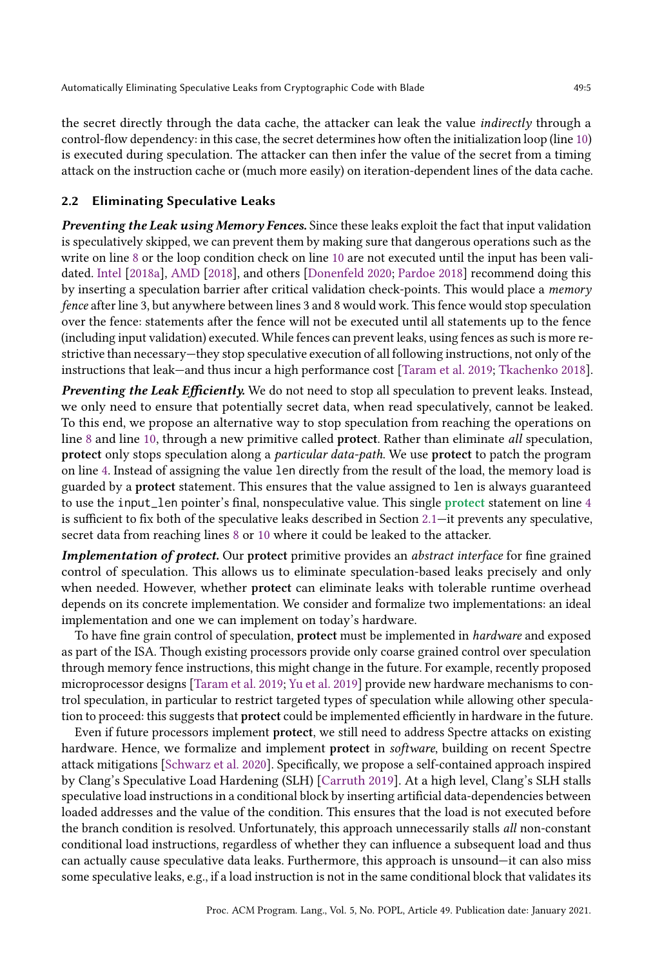the secret directly through the data cache, the attacker can leak the value *indirectly* through a control-flow dependency: in this case, the secret determines how often the initialization loop (line [10\)](#page-3-5) is executed during speculation. The attacker can then infer the value of the secret from a timing attack on the instruction cache or (much more easily) on iteration-dependent lines of the data cache.

#### 2.2 Eliminating Speculative Leaks

Preventing the Leak using Memory Fences. Since these leaks exploit the fact that input validation is speculatively skipped, we can prevent them by making sure that dangerous operations such as the write on line [8](#page-3-4) or the loop condition check on line [10](#page-3-5) are not executed until the input has been validated. [Intel](#page-27-10) [\[2018a\]](#page-27-10), [AMD](#page-27-11) [\[2018\]](#page-27-11), and others [\[Donenfeld](#page-27-3) [2020;](#page-27-3) [Pardoe](#page-28-6) [2018\]](#page-28-6) recommend doing this by inserting a speculation barrier after critical validation check-points. This would place a memory fence after line 3, but anywhere between lines 3 and 8 would work. This fence would stop speculation over the fence: statements after the fence will not be executed until all statements up to the fence (including input validation) executed. While fences can prevent leaks, using fences as such is more restrictive than necessary—they stop speculative execution of all following instructions, not only of the instructions that leak—and thus incur a high performance cost [\[Taram et al.](#page-28-5) [2019;](#page-28-5) [Tkachenko](#page-28-7) [2018\]](#page-28-7).

Preventing the Leak Efficiently. We do not need to stop all speculation to prevent leaks. Instead, we only need to ensure that potentially secret data, when read speculatively, cannot be leaked. To this end, we propose an alternative way to stop speculation from reaching the operations on line [8](#page-3-4) and line [10,](#page-3-5) through a new primitive called protect. Rather than eliminate all speculation, protect only stops speculation along a particular data-path. We use protect to patch the program on line [4.](#page-3-2) Instead of assigning the value len directly from the result of the load, the memory load is guarded by a protect statement. This ensures that the value assigned to len is always guaranteed to use the input\_len pointer's final, nonspeculative value. This single protect statement on line [4](#page-3-2) is sufficient to fix both of the speculative leaks described in Section [2.1—](#page-3-6)it prevents any speculative, secret data from reaching lines [8](#page-3-4) or [10](#page-3-5) where it could be leaked to the attacker.

Implementation of protect. Our protect primitive provides an abstract interface for fine grained control of speculation. This allows us to eliminate speculation-based leaks precisely and only when needed. However, whether protect can eliminate leaks with tolerable runtime overhead depends on its concrete implementation. We consider and formalize two implementations: an ideal implementation and one we can implement on today's hardware.

To have fine grain control of speculation, protect must be implemented in *hardware* and exposed as part of the ISA. Though existing processors provide only coarse grained control over speculation through memory fence instructions, this might change in the future. For example, recently proposed microprocessor designs [\[Taram et al.](#page-28-5) [2019;](#page-28-5) [Yu et al.](#page-29-3) [2019\]](#page-29-3) provide new hardware mechanisms to control speculation, in particular to restrict targeted types of speculation while allowing other speculation to proceed: this suggests that protect could be implemented efficiently in hardware in the future.

Even if future processors implement protect, we still need to address Spectre attacks on existing hardware. Hence, we formalize and implement protect in *software*, building on recent Spectre attack mitigations [\[Schwarz et al.](#page-28-8) [2020\]](#page-28-8). Specifically, we propose a self-contained approach inspired by Clang's Speculative Load Hardening (SLH) [\[Carruth](#page-27-7) [2019\]](#page-27-7). At a high level, Clang's SLH stalls speculative load instructions in a conditional block by inserting artificial data-dependencies between loaded addresses and the value of the condition. This ensures that the load is not executed before the branch condition is resolved. Unfortunately, this approach unnecessarily stalls all non-constant conditional load instructions, regardless of whether they can influence a subsequent load and thus can actually cause speculative data leaks. Furthermore, this approach is unsound—it can also miss some speculative leaks, e.g., if a load instruction is not in the same conditional block that validates its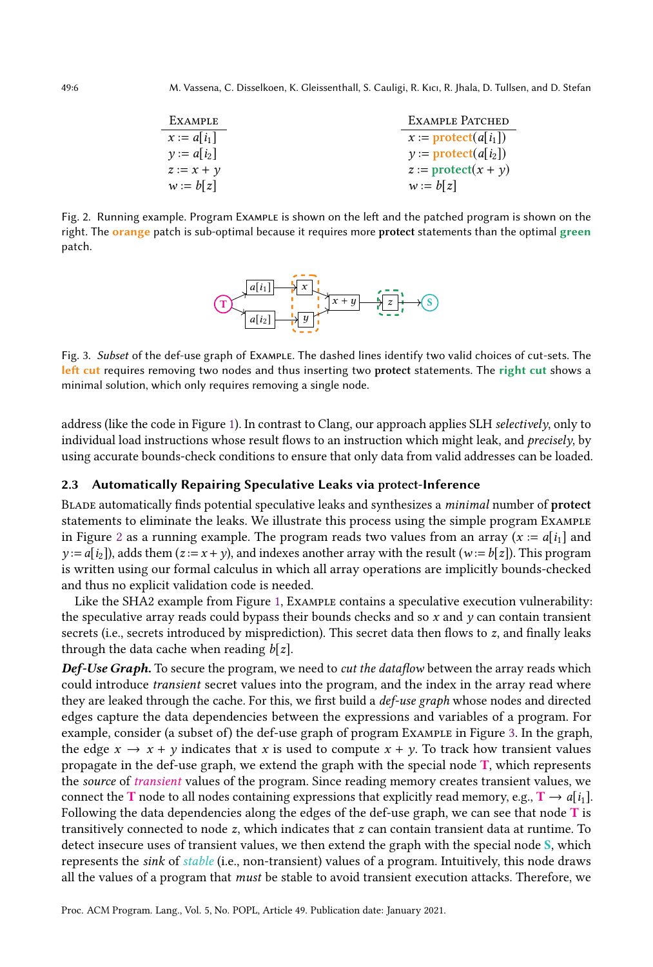<span id="page-5-0"></span>

| EXAMPLE       | EXAMPLE PATCHED                    |
|---------------|------------------------------------|
| $x := a[i_1]$ | $x :=$ protect(a i <sub>1</sub>  ) |
| $v := a[i_2]$ | $y :=$ <b>protect</b> $(a[i_2])$   |
| $z := x + y$  | $z :=$ protect $(x + y)$           |
| $w := b[z]$   | $w := b z $                        |

<span id="page-5-1"></span>Fig. 2. Running example. Program Example is shown on the left and the patched program is shown on the right. The orange patch is sub-optimal because it requires more protect statements than the optimal green patch.



Fig. 3. Subset of the def-use graph of Example. The dashed lines identify two valid choices of cut-sets. The left cut requires removing two nodes and thus inserting two protect statements. The right cut shows a minimal solution, which only requires removing a single node.

address (like the code in Figure [1\)](#page-3-0). In contrast to Clang, our approach applies SLH selectively, only to individual load instructions whose result flows to an instruction which might leak, and precisely, by using accurate bounds-check conditions to ensure that only data from valid addresses can be loaded.

#### 2.3 Automatically Repairing Speculative Leaks via protect-Inference

Blade automatically finds potential speculative leaks and synthesizes a minimal number of protect statements to eliminate the leaks. We illustrate this process using the simple program Example in Figure [2](#page-5-0) as a running example. The program reads two values from an array ( $x := a[i_1]$  and  $y := a[i_2]$ , adds them  $(z = x + y)$ , and indexes another array with the result  $(w := b[z])$ . This program is written using our formal calculus in which all array operations are implicitly bounds-checked and thus no explicit validation code is needed.

Like the SHA2 example from Figure [1,](#page-3-0) Example contains a speculative execution vulnerability: the speculative array reads could bypass their bounds checks and so  $x$  and  $y$  can contain transient secrets (i.e., secrets introduced by misprediction). This secret data then flows to z, and finally leaks through the data cache when reading  $b[z]$ .

Def-Use Graph. To secure the program, we need to cut the dataflow between the array reads which could introduce transient secret values into the program, and the index in the array read where they are leaked through the cache. For this, we first build a *def-use graph* whose nodes and directed edges capture the data dependencies between the expressions and variables of a program. For example, consider (a subset of) the def-use graph of program Example in Figure [3.](#page-5-1) In the graph, the edge  $x \to x + y$  indicates that x is used to compute  $x + y$ . To track how transient values propagate in the def-use graph, we extend the graph with the special node T, which represents the *source* of *transient* values of the program. Since reading memory creates transient values, we connect the T node to all nodes containing expressions that explicitly read memory, e.g.,  $T \rightarrow a[i_1]$ . Following the data dependencies along the edges of the def-use graph, we can see that node  $T$  is transitively connected to node z, which indicates that z can contain transient data at runtime. To detect insecure uses of transient values, we then extend the graph with the special node S, which represents the sink of stable (i.e., non-transient) values of a program. Intuitively, this node draws all the values of a program that must be stable to avoid transient execution attacks. Therefore, we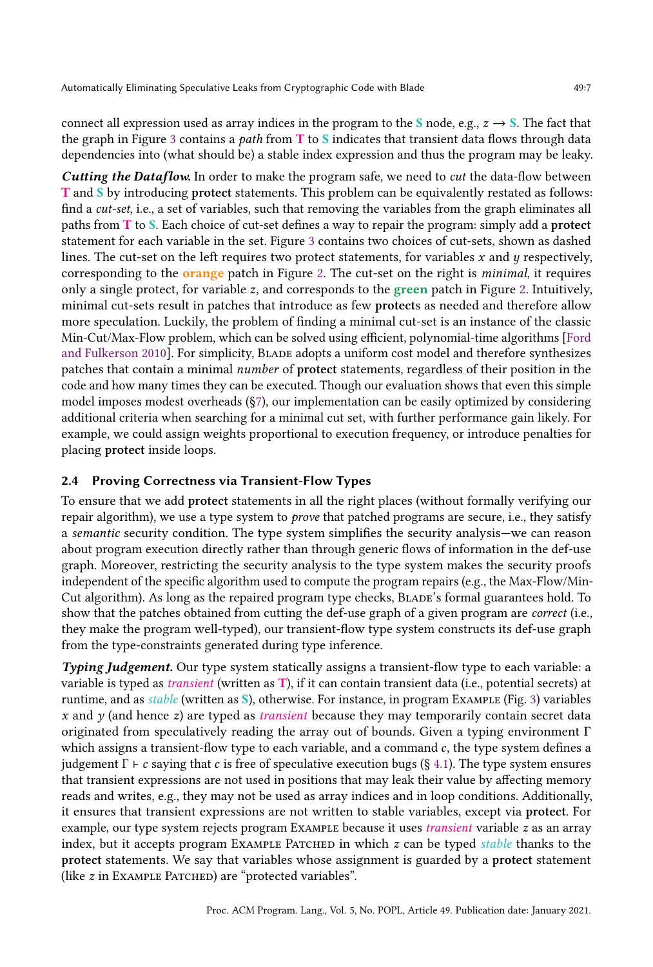connect all expression used as array indices in the program to the S node, e.g.,  $z \rightarrow S$ . The fact that the graph in Figure [3](#page-5-1) contains a path from  $T$  to  $S$  indicates that transient data flows through data dependencies into (what should be) a stable index expression and thus the program may be leaky.

**Cutting the Dataflow.** In order to make the program safe, we need to *cut* the data-flow between T and S by introducing protect statements. This problem can be equivalently restated as follows: find a cut-set, i.e., a set of variables, such that removing the variables from the graph eliminates all paths from T to S. Each choice of cut-set defines a way to repair the program: simply add a protect statement for each variable in the set. Figure [3](#page-5-1) contains two choices of cut-sets, shown as dashed lines. The cut-set on the left requires two protect statements, for variables  $x$  and  $y$  respectively, corresponding to the **orange** patch in Figure [2.](#page-5-0) The cut-set on the right is *minimal*, it requires only a single protect, for variable  $z$ , and corresponds to the green patch in Figure [2.](#page-5-0) Intuitively, minimal cut-sets result in patches that introduce as few protects as needed and therefore allow more speculation. Luckily, the problem of finding a minimal cut-set is an instance of the classic Min-Cut/Max-Flow problem, which can be solved using efficient, polynomial-time algorithms [\[Ford](#page-27-12) [and Fulkerson](#page-27-12) [2010\]](#page-27-12). For simplicity, Blade adopts a uniform cost model and therefore synthesizes patches that contain a minimal number of protect statements, regardless of their position in the code and how many times they can be executed. Though our evaluation shows that even this simple model imposes modest overheads ([§7\)](#page-22-0), our implementation can be easily optimized by considering additional criteria when searching for a minimal cut set, with further performance gain likely. For example, we could assign weights proportional to execution frequency, or introduce penalties for placing protect inside loops.

# 2.4 Proving Correctness via Transient-Flow Types

To ensure that we add protect statements in all the right places (without formally verifying our repair algorithm), we use a type system to prove that patched programs are secure, i.e., they satisfy a semantic security condition. The type system simplifies the security analysis—we can reason about program execution directly rather than through generic flows of information in the def-use graph. Moreover, restricting the security analysis to the type system makes the security proofs independent of the specific algorithm used to compute the program repairs (e.g., the Max-Flow/Min-Cut algorithm). As long as the repaired program type checks, Blade's formal guarantees hold. To show that the patches obtained from cutting the def-use graph of a given program are correct (i.e., they make the program well-typed), our transient-flow type system constructs its def-use graph from the type-constraints generated during type inference.

Typing Judgement. Our type system statically assigns a transient-flow type to each variable: a variable is typed as *transient* (written as  $T$ ), if it can contain transient data (i.e., potential secrets) at runtime, and as stable (written as S), otherwise. For instance, in program Example (Fig. [3\)](#page-5-1) variables x and  $\gamma$  (and hence z) are typed as *transient* because they may temporarily contain secret data originated from speculatively reading the array out of bounds. Given a typing environment  $\Gamma$ which assigns a transient-flow type to each variable, and a command c, the type system defines a judgement  $\Gamma \vdash c$  saying that c is free of speculative execution bugs (§ [4.1\)](#page-16-0). The type system ensures that transient expressions are not used in positions that may leak their value by affecting memory reads and writes, e.g., they may not be used as array indices and in loop conditions. Additionally, it ensures that transient expressions are not written to stable variables, except via protect. For example, our type system rejects program Example because it uses transient variable z as an array index, but it accepts program EXAMPLE PATCHED in which  $z$  can be typed stable thanks to the protect statements. We say that variables whose assignment is guarded by a protect statement (like z in Example Patched) are "protected variables".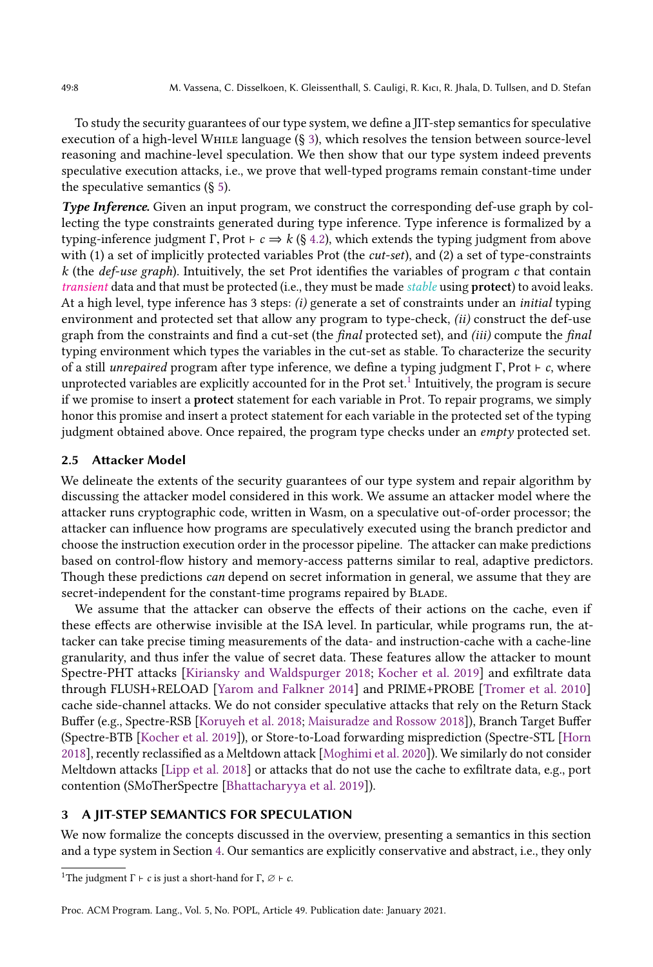To study the security guarantees of our type system, we define a JIT-step semantics for speculative execution of a high-level While language (§ [3\)](#page-7-0), which resolves the tension between source-level reasoning and machine-level speculation. We then show that our type system indeed prevents speculative execution attacks, i.e., we prove that well-typed programs remain constant-time under the speculative semantics  $(\S 5)$  $(\S 5)$ .

Type Inference. Given an input program, we construct the corresponding def-use graph by collecting the type constraints generated during type inference. Type inference is formalized by a typing-inference judgment Γ, Prot ⊢  $c \Rightarrow k$  (§ [4.2\)](#page-17-0), which extends the typing judgment from above with (1) a set of implicitly protected variables Prot (the *cut-set*), and (2) a set of type-constraints k (the *def-use graph*). Intuitively, the set Prot identifies the variables of program c that contain transient data and that must be protected (i.e., they must be made *stable* using **protect**) to avoid leaks. At a high level, type inference has 3 steps: (i) generate a set of constraints under an *initial* typing environment and protected set that allow any program to type-check, (ii) construct the def-use graph from the constraints and find a cut-set (the *final* protected set), and *(iii)* compute the *final* typing environment which types the variables in the cut-set as stable. To characterize the security of a still *unrepaired* program after type inference, we define a typing judgment  $\Gamma$ , Prot  $\vdash$  c, where unprotected variables are explicitly accounted for in the Prot set.<sup>[1](#page-7-1)</sup> Intuitively, the program is secure if we promise to insert a protect statement for each variable in Prot. To repair programs, we simply honor this promise and insert a protect statement for each variable in the protected set of the typing judgment obtained above. Once repaired, the program type checks under an *empty* protected set.

#### 2.5 Attacker Model

We delineate the extents of the security guarantees of our type system and repair algorithm by discussing the attacker model considered in this work. We assume an attacker model where the attacker runs cryptographic code, written in Wasm, on a speculative out-of-order processor; the attacker can influence how programs are speculatively executed using the branch predictor and choose the instruction execution order in the processor pipeline. The attacker can make predictions based on control-flow history and memory-access patterns similar to real, adaptive predictors. Though these predictions *can* depend on secret information in general, we assume that they are secret-independent for the constant-time programs repaired by BLADE.

We assume that the attacker can observe the effects of their actions on the cache, even if these effects are otherwise invisible at the ISA level. In particular, while programs run, the attacker can take precise timing measurements of the data- and instruction-cache with a cache-line granularity, and thus infer the value of secret data. These features allow the attacker to mount Spectre-PHT attacks [\[Kiriansky and Waldspurger](#page-28-3) [2018;](#page-28-3) [Kocher et al.](#page-28-4) [2019\]](#page-28-4) and exfiltrate data through FLUSH+RELOAD [\[Yarom and Falkner](#page-29-5) [2014\]](#page-29-5) and PRIME+PROBE [\[Tromer et al.](#page-28-9) [2010\]](#page-28-9) cache side-channel attacks. We do not consider speculative attacks that rely on the Return Stack Buffer (e.g., Spectre-RSB [\[Koruyeh et al.](#page-28-10) [2018;](#page-28-10) [Maisuradze and Rossow](#page-28-11) [2018\]](#page-28-11)), Branch Target Buffer (Spectre-BTB [\[Kocher et al.](#page-28-4) [2019\]](#page-28-4)), or Store-to-Load forwarding misprediction (Spectre-STL [\[Horn](#page-27-13) [2018\]](#page-27-13), recently reclassified as a Meltdown attack [\[Moghimi et al.](#page-28-12) [2020\]](#page-28-12)). We similarly do not consider Meltdown attacks [\[Lipp et al.](#page-28-13) [2018\]](#page-28-13) or attacks that do not use the cache to exfiltrate data, e.g., port contention (SMoTherSpectre [\[Bhattacharyya et al.](#page-27-14) [2019\]](#page-27-14)).

# <span id="page-7-0"></span>3 A JIT-STEP SEMANTICS FOR SPECULATION

We now formalize the concepts discussed in the overview, presenting a semantics in this section and a type system in Section [4.](#page-15-0) Our semantics are explicitly conservative and abstract, i.e., they only

<span id="page-7-1"></span><sup>&</sup>lt;sup>1</sup>The judgment  $\Gamma \vdash c$  is just a short-hand for  $\Gamma$ ,  $\varnothing \vdash c$ .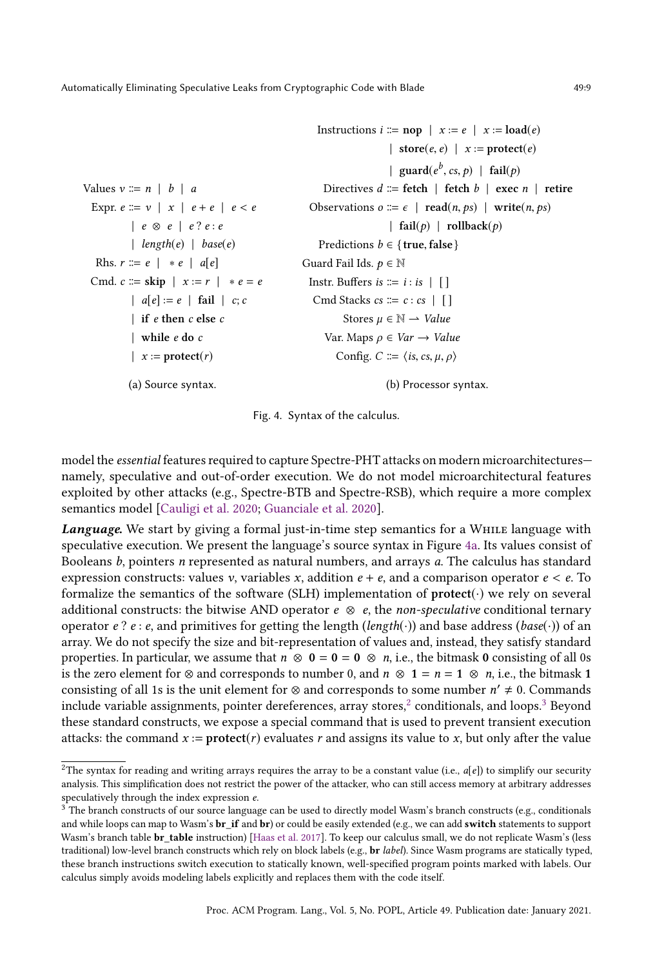```
Values v ::= n | b | aExpr. e \coloneqq v \mid x \mid e + e \mid e < e| e ⊗ e | e ? e : e
            | length(e) | base(e)Rhs. r \coloneqq e \mid * e \mid a[e]Cmd. c \therefore skip |x := r| * e = e
            | a[e] := e | \text{fail} | c; c| if e then c else c
             | while e do c
             | x := protect(r)(a) Source syntax.
                                                               Instructions i ::= \text{nop} \mid x := e \mid x := \text{load}(e)| store(e, e) | x := protect(e)| guard(e^b, cs, p) | fail(p)Directives d \coloneqq \text{ fetch } | \text{ fetch } b | \text{ exec } n | \text{ retire }Observations o := \epsilon \mid \text{read}(n, ps) \mid \text{write}(n, ps)| fail(p) | rollback(p)Predictions b \in \{ true, false \}Guard Fail Ids. p \in \mathbb{N}Instr. Buffers is \coloneqq i : i \in | \cdot |Cmd Stacks cs \coloneqq c : cs \mid []Stores \mu \in \mathbb{N} \longrightarrow Value
                                                                 Var. Maps \rho \in Var \rightarrow ValueConfig. C \coloneqq \langle is, cs, \mu, \rho \rangle(b) Processor syntax.
```
Fig. 4. Syntax of the calculus.

model the essential features required to capture Spectre-PHT attacks on modern microarchitectures namely, speculative and out-of-order execution. We do not model microarchitectural features exploited by other attacks (e.g., Spectre-BTB and Spectre-RSB), which require a more complex semantics model [\[Cauligi et al.](#page-27-5) [2020;](#page-27-5) [Guanciale et al.](#page-27-15) [2020\]](#page-27-15).

Language. We start by giving a formal just-in-time step semantics for a WHILE language with speculative execution. We present the language's source syntax in Figure [4a.](#page-8-0) Its values consist of Booleans b, pointers n represented as natural numbers, and arrays a. The calculus has standard expression constructs: values v, variables x, addition  $e + e$ , and a comparison operator  $e < e$ . To formalize the semantics of the software (SLH) implementation of  $\mathbf{protet}(\cdot)$  we rely on several additional constructs: the bitwise AND operator  $e \otimes e$ , the non-speculative conditional ternary operator e? e: e, and primitives for getting the length (length(·)) and base address (base(·)) of an array. We do not specify the size and bit-representation of values and, instead, they satisfy standard properties. In particular, we assume that  $n \otimes 0 = 0 = 0 \otimes n$ , i.e., the bitmask 0 consisting of all 0s is the zero element for ⊗ and corresponds to number 0, and  $n \otimes 1 = n = 1 \otimes n$ , i.e., the bitmask 1 consisting of all 1s is the unit element for  $\otimes$  and corresponds to some number  $n' \neq 0$ . Commands include variable assignments, pointer dereferences, array stores, $^2$  $^2$  conditionals, and loops. $^3$  $^3$  Beyond these standard constructs, we expose a special command that is used to prevent transient execution attacks: the command  $x :=$  **protect** $(r)$  evaluates r and assigns its value to x, but only after the value

<span id="page-8-1"></span><sup>&</sup>lt;sup>2</sup>The syntax for reading and writing arrays requires the array to be a constant value (i.e.,  $a[e]$ ) to simplify our security analysis. This simplification does not restrict the power of the attacker, who can still access memory at arbitrary addresses speculatively through the index expression e.

<span id="page-8-2"></span> $3$  The branch constructs of our source language can be used to directly model Wasm's branch constructs (e.g., conditionals and while loops can map to Wasm's  $br_i$  if and  $br_j$  or could be easily extended (e.g., we can add switch statements to support Wasm's branch table br\_table instruction) [\[Haas et al.](#page-27-16) [2017\]](#page-27-16). To keep our calculus small, we do not replicate Wasm's (less traditional) low-level branch constructs which rely on block labels (e.g., br label). Since Wasm programs are statically typed, these branch instructions switch execution to statically known, well-specified program points marked with labels. Our calculus simply avoids modeling labels explicitly and replaces them with the code itself.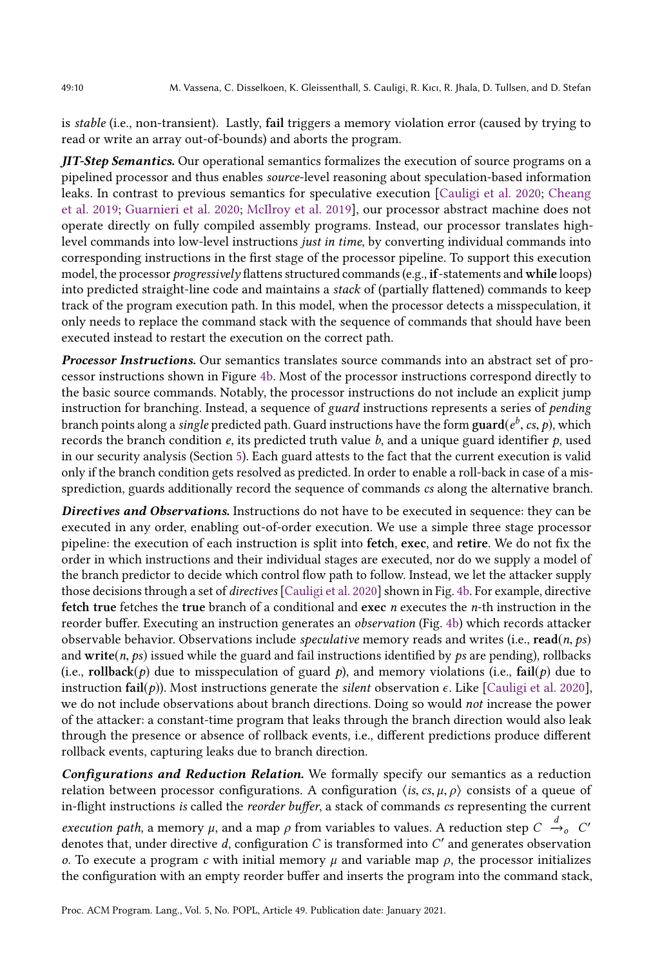is stable (i.e., non-transient). Lastly, fail triggers a memory violation error (caused by trying to read or write an array out-of-bounds) and aborts the program.

**JIT-Step Semantics.** Our operational semantics formalizes the execution of source programs on a pipelined processor and thus enables source-level reasoning about speculation-based information leaks. In contrast to previous semantics for speculative execution [\[Cauligi et al.](#page-27-5) [2020;](#page-27-5) [Cheang](#page-27-17) [et al.](#page-27-17) [2019;](#page-27-17) [Guarnieri et al.](#page-27-18) [2020;](#page-27-18) [McIlroy et al.](#page-28-14) [2019\]](#page-28-14), our processor abstract machine does not operate directly on fully compiled assembly programs. Instead, our processor translates highlevel commands into low-level instructions just in time, by converting individual commands into corresponding instructions in the first stage of the processor pipeline. To support this execution model, the processor *progressively* flattens structured commands (e.g., if-statements and while loops) into predicted straight-line code and maintains a stack of (partially flattened) commands to keep track of the program execution path. In this model, when the processor detects a misspeculation, it only needs to replace the command stack with the sequence of commands that should have been executed instead to restart the execution on the correct path.

Processor Instructions. Our semantics translates source commands into an abstract set of processor instructions shown in Figure [4b.](#page-8-0) Most of the processor instructions correspond directly to the basic source commands. Notably, the processor instructions do not include an explicit jump instruction for branching. Instead, a sequence of *guard* instructions represents a series of *pending* branch points along a single predicted path. Guard instructions have the form  $\text{guard}(e^b, cs, p)$ , which<br>records the branch condition  $e$  its predicted truth value  $b$  and a unique guard identifier  $p$  used records the branch condition  $e$ , its predicted truth value  $b$ , and a unique guard identifier  $p$ , used in our security analysis (Section [5\)](#page-19-0). Each guard attests to the fact that the current execution is valid only if the branch condition gets resolved as predicted. In order to enable a roll-back in case of a missprediction, guards additionally record the sequence of commands cs along the alternative branch.

Directives and Observations. Instructions do not have to be executed in sequence: they can be executed in any order, enabling out-of-order execution. We use a simple three stage processor pipeline: the execution of each instruction is split into fetch, exec, and retire. We do not fix the order in which instructions and their individual stages are executed, nor do we supply a model of the branch predictor to decide which control flow path to follow. Instead, we let the attacker supply those decisions through a set of directives [\[Cauligi et al.](#page-27-5) [2020\]](#page-27-5) shown in Fig. [4b.](#page-8-0) For example, directive fetch true fetches the true branch of a conditional and exec n executes the n-th instruction in the reorder buffer. Executing an instruction generates an observation (Fig. [4b\)](#page-8-0) which records attacker observable behavior. Observations include *speculative* memory reads and writes (i.e., read(*n*, *ps*) and write(n, ps) issued while the guard and fail instructions identified by ps are pending), rollbacks (i.e., rollback(p) due to misspeculation of guard p), and memory violations (i.e., fail(p) due to instruction  $fail(p)$ ). Most instructions generate the *silent* observation  $\epsilon$ . Like [\[Cauligi et al.](#page-27-5) [2020\]](#page-27-5), we do not include observations about branch directions. Doing so would not increase the power of the attacker: a constant-time program that leaks through the branch direction would also leak through the presence or absence of rollback events, i.e., different predictions produce different rollback events, capturing leaks due to branch direction.

Configurations and Reduction Relation. We formally specify our semantics as a reduction relation between processor configurations. A configuration  $\langle$ is, cs,  $\mu$ ,  $\rho$  $\rangle$  consists of a queue of in-flight instructions is called the *reorder buffer*, a stack of commands cs representing the current

execution path, a memory  $\mu$ , and a map  $\rho$  from variables to values. A reduction step  $C \xrightarrow{\partial} C'$ <br>denotes that under directive d configuration  $C$  is transformed into  $C'$  and generates observation denotes that, under directive d, configuration C is transformed into  $C'$  and generates observation o. To execute a program c with initial memory  $\mu$  and variable map  $\rho$ , the processor initializes the configuration with an empty reorder buffer and inserts the program into the command stack,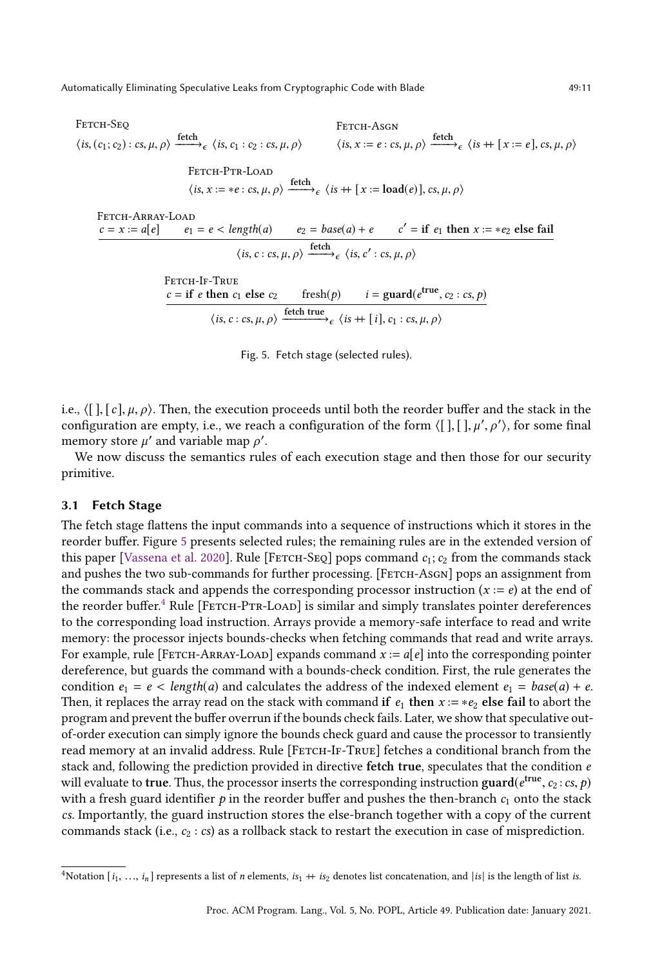<span id="page-10-0"></span>Fetch-Seq  $\langle is, (c_1; c_2) : cs, \mu, \rho \rangle \xrightarrow{\text{fetch}} \epsilon \langle is, c_1 : c_2 : cs, \mu, \rho \rangle$ Fetch-Asgn  $\langle$  is,  $x := e : cs, \mu, \rho \rangle \xrightarrow{\text{fetch}} \epsilon \langle is + [x := e], cs, \mu, \rho \rangle$ Fetch-Ptr-Load  $\langle is, x := *e : cs, \mu, \rho \rangle \xrightarrow{\text{fetch}} \epsilon \langle is + [x := \text{load}(e)], cs, \mu, \rho \rangle$ 

FETCH-ARRAY-LOAD  
\n
$$
\underbrace{c = x := a[e] \qquad e_1 = e < length(a) \qquad e_2 = base(a) + e \qquad c' = \text{if } e_1 \text{ then } x := *e_2 \text{ else fail}
$$
\n
$$
\langle is, c : cs, \mu, \rho \rangle \xrightarrow{\text{fetch}} \varepsilon \langle is, c' : cs, \mu, \rho \rangle
$$

Fetch-If-True  $c = \text{if } e \text{ then } c_1 \text{ else } c_2 \quad \text{ fresh}(p) \quad i = \text{guard}(e^{\text{true}}, c_2 : cs, p)$  $\langle is, c : cs, \mu, \rho \rangle \xrightarrow{\text{ fetch true}} \epsilon \langle is + [i], c_1 : cs, \mu, \rho \rangle$ 

Fig. 5. Fetch stage (selected rules).

i.e.,  $\langle \lceil \cdot \rceil, \lceil c \rceil, \mu, \rho \rangle$ . Then, the execution proceeds until both the reorder buffer and the stack in the configuration are empty, i.e., we reach a configuration of the form  $\langle [\cdot], [\cdot], \mu'$ <br>memory store  $\mu'$  and variable map  $\rho'$  $\overline{r}$ ′ ⟩, for some final memory store  $\mu'$  and variable map  $\rho'$ .<br>We now discuss the semantics rule

We now discuss the semantics rules of each execution stage and then those for our security primitive.

#### 3.1 Fetch Stage

The fetch stage flattens the input commands into a sequence of instructions which it stores in the reorder buffer. Figure [5](#page-10-0) presents selected rules; the remaining rules are in the extended version of this paper [\[Vassena et al.](#page-29-6) [2020\]](#page-29-6). Rule [FETCH-SEQ] pops command  $c_1$ ;  $c_2$  from the commands stack and pushes the two sub-commands for further processing. [FETCH-ASGN] pops an assignment from the commands stack and appends the corresponding processor instruction  $(x := e)$  at the end of the reorder buffer.<sup>[4](#page-10-1)</sup> Rule [FETCH-PTR-LOAD] is similar and simply translates pointer dereferences to the corresponding load instruction. Arrays provide a memory-safe interface to read and write memory: the processor injects bounds-checks when fetching commands that read and write arrays. For example, rule [FETCH-ARRAY-LOAD] expands command  $x := a[e]$  into the corresponding pointer dereference, but guards the command with a bounds-check condition. First, the rule generates the condition  $e_1 = e < length(a)$  and calculates the address of the indexed element  $e_1 = base(a) + e$ . Then, it replaces the array read on the stack with command if  $e_1$  then  $x := *e_2$  else fail to abort the program and prevent the buffer overrun if the bounds check fails. Later, we show that speculative outof-order execution can simply ignore the bounds check guard and cause the processor to transiently read memory at an invalid address. Rule [FETCH-IF-TRUE] fetches a conditional branch from the stack and, following the prediction provided in directive fetch true, speculates that the condition e will evaluate to **true**. Thus, the processor inserts the corresponding instruction  $\text{guard}(e^{\text{true}}, c_2 : cs, p)$ <br>with a fresh guard identifier  $\rho$  in the reorder buffer and pushes the then-branch  $c_2$  onto the stack with a fresh guard identifier  $p$  in the reorder buffer and pushes the then-branch  $c_1$  onto the stack cs. Importantly, the guard instruction stores the else-branch together with a copy of the current commands stack (i.e.,  $c_2 : cs$ ) as a rollback stack to restart the execution in case of misprediction.

<span id="page-10-1"></span><sup>&</sup>lt;sup>4</sup>Notation [ $i_1, ..., i_n$ ] represents a list of *n* elements,  $is_1 + is_2$  denotes list concatenation, and  $|is|$  is the length of list is.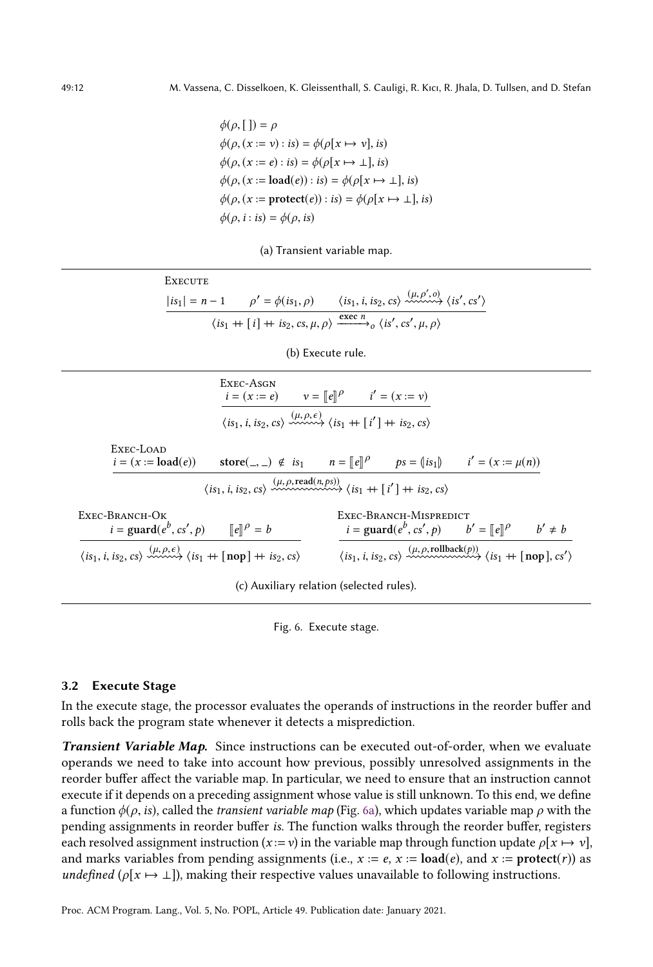$\phi(\rho, [\cdot]) = \rho$  $\phi(\rho, (x := v) : is) = \phi(\rho[x \mapsto v], is)$  $\phi(\rho, (x := e) : is) = \phi(\rho[x \mapsto \bot], is)$  $\phi(\rho, (x := \text{load}(e)) : is) = \phi(\rho[x \mapsto \bot], is)$  $\phi(\rho, (x := \text{protech}(e)) : is) = \phi(\rho[x \mapsto \bot], is)$  $\phi(\rho, i : is) = \phi(\rho, is)$ 



| <b>EXECUTE</b> |                                           |                                                                                                                     |
|----------------|-------------------------------------------|---------------------------------------------------------------------------------------------------------------------|
|                | $ is_1  = n-1$ $\rho' = \phi(is_1, \rho)$ | $\langle is_1, i, is_2, cs \rangle \xrightarrow{(\mu, \rho', o)} \langle is', cs' \rangle$                          |
|                |                                           | $\langle is_1 + [i] + is_2, cs, \mu, \rho \rangle \xrightarrow{\text{exec } n} \langle is', cs', \mu, \rho \rangle$ |

(b) Execute rule.

|                                                                                                                                                    | EXEC-ASGN                                                                                                      | $i = (x := e)$ $v = [e]^{p}$ $i' = (x := v)$                                                                                                  |  |  |  |  |
|----------------------------------------------------------------------------------------------------------------------------------------------------|----------------------------------------------------------------------------------------------------------------|-----------------------------------------------------------------------------------------------------------------------------------------------|--|--|--|--|
|                                                                                                                                                    | $\langle is_1, i, is_2, cs \rangle \xrightarrow{(\mu, \rho, \epsilon)} \langle is_1 + [i'] + is_2, cs \rangle$ |                                                                                                                                               |  |  |  |  |
| EXEC-LOAD<br>$i = (x := load(e))$                                                                                                                  |                                                                                                                | store(_, _) $\notin is_1$ $n = [e]^{p}$ $ps = (is_1)$ $i' = (x := \mu(n))$                                                                    |  |  |  |  |
|                                                                                                                                                    |                                                                                                                | $\langle is_1, i, is_2, cs \rangle \longrightarrow^{(\mu, \rho, read(n, ps))} \langle is_1 + [i'] + is_2, cs \rangle$                         |  |  |  |  |
| Exec-Branch-Ok<br>$i = \text{guard}(e^b, cs', p)$ $  e  ^{\rho} = b$                                                                               |                                                                                                                | EXEC-BRANCH-MISPREDICT<br>$i = \text{guard}(e^b, cs', p)$ $b' = [e]^{p}$ $b' \neq b$                                                          |  |  |  |  |
| $\langle is_1, i, is_2, cs \rangle \xrightarrow{\langle \mu, \rho, \epsilon \rangle} \langle is_1 + \lfloor \text{nop} \rfloor + is_2, cs \rangle$ |                                                                                                                | $\langle is_1, i, is_2, cs \rangle \longrightarrow (\mu, \rho, \text{rollback}(p))$<br>$\langle is_1 + \lceil \text{nop} \rceil, cs' \rangle$ |  |  |  |  |

(c) Auxiliary relation (selected rules).

Fig. 6. Execute stage.

#### 3.2 Execute Stage

In the execute stage, the processor evaluates the operands of instructions in the reorder buffer and rolls back the program state whenever it detects a misprediction.

Transient Variable Map. Since instructions can be executed out-of-order, when we evaluate operands we need to take into account how previous, possibly unresolved assignments in the reorder buffer affect the variable map. In particular, we need to ensure that an instruction cannot execute if it depends on a preceding assignment whose value is still unknown. To this end, we define a function  $\phi(\rho, i\mathbf{s})$ , called the *transient variable map* (Fig. [6a\)](#page-11-0), which updates variable map  $\rho$  with the pending assignments in reorder buffer is. The function walks through the reorder buffer, registers each resolved assignment instruction ( $x := v$ ) in the variable map through function update  $\rho[x \mapsto v]$ , and marks variables from pending assignments (i.e.,  $x := e$ ,  $x := \text{load}(e)$ , and  $x := \text{protech}(r)$ ) as *undefined* ( $\rho[x \mapsto \bot]$ ), making their respective values unavailable to following instructions.

<span id="page-11-0"></span>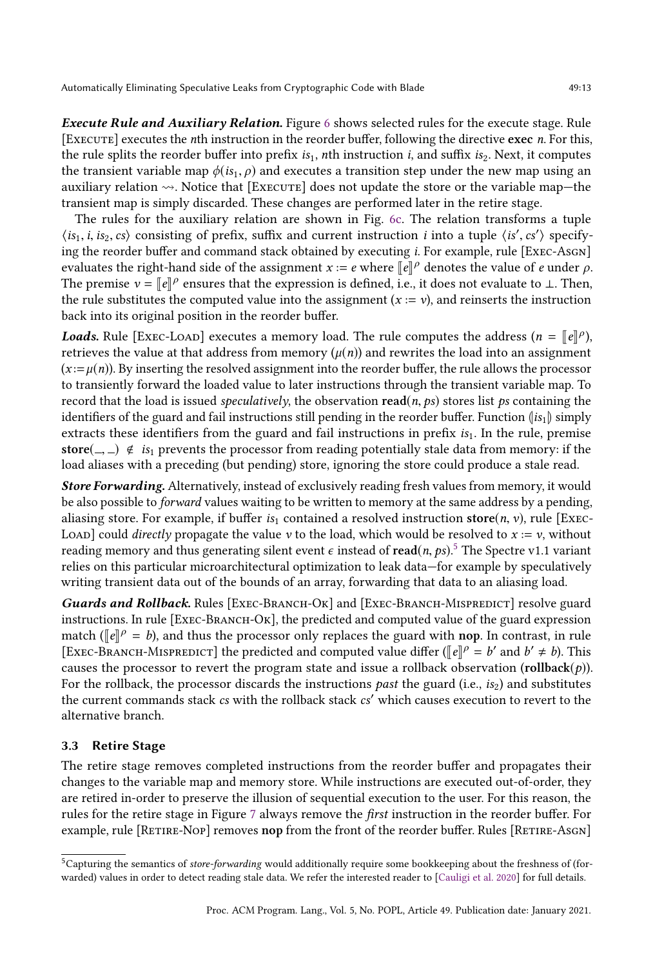Execute Rule and Auxiliary Relation. Figure [6](#page-11-0) shows selected rules for the execute stage. Rule [Execute] executes the nth instruction in the reorder buffer, following the directive exec n. For this, the rule splits the reorder buffer into prefix  $is_1$ , nth instruction i, and suffix  $is_2$ . Next, it computes the transient variable map  $\phi(is_1, \rho)$  and executes a transition step under the new map using an auxiliary relation  $\rightsquigarrow$ . Notice that [Execute] does not update the store or the variable map—the transient map is simply discarded. These changes are performed later in the retire stage.

The rules for the auxiliary relation are shown in Fig. [6c.](#page-11-0) The relation transforms a tuple  $\langle is_1, i, is_2, cs \rangle$  consisting of prefix, suffix and current instruction *i* into a tuple  $\langle is', cs' \rangle$  specify-<br>ing the reorder buffer and command stack obtained by executing *i* For example, rule [FyEC-ASCN] ing the reorder buffer and command stack obtained by executing *i*. For example, rule [Exec-Asgn] evaluates the right-hand side of the assignment  $x := e$  where  $\llbracket e \rrbracket^{\rho}$  denotes the value of  $e$  under  $\rho$ .<br>The premise  $y = \llbracket e \rrbracket^{\rho}$  ensures that the expression is defined i.e., it does not evaluate to 1. Then The premise  $v = \llbracket e \rrbracket^{\rho}$  ensures that the expression is defined, i.e., it does not evaluate to ⊥. Then, the substitute the computed value into the essignment  $(x - y)$  and rejnects the instruction the rule substitutes the computed value into the assignment  $(x := v)$ , and reinserts the instruction back into its original position in the reorder buffer.

**Loads.** Rule [ExEC-LOAD] executes a memory load. The rule computes the address  $(n = [e]\rho)$ , retrieves the value at that address from memory  $(\mu(n))$  and rewrites the load into an assignment  $(x := \mu(n))$ . By inserting the resolved assignment into the reorder buffer, the rule allows the processor to transiently forward the loaded value to later instructions through the transient variable map. To record that the load is issued *speculatively*, the observation read(*n*, *ps*) stores list *ps* containing the identifiers of the guard and fail instructions still pending in the reorder buffer. Function  $\left(i s_1\right)$  simply extracts these identifiers from the guard and fail instructions in prefix  $is<sub>1</sub>$ . In the rule, premise store(,  $\infty$ )  $\notin$  is<sub>1</sub> prevents the processor from reading potentially stale data from memory: if the load aliases with a preceding (but pending) store, ignoring the store could produce a stale read.

Store Forwarding. Alternatively, instead of exclusively reading fresh values from memory, it would be also possible to forward values waiting to be written to memory at the same address by a pending, aliasing store. For example, if buffer  $is_1$  contained a resolved instruction store(n, v), rule [Exec-LOAD] could *directly* propagate the value v to the load, which would be resolved to  $x := v$ , without reading memory and thus generating silent event  $\epsilon$  instead of  $\text{read}(n, ps)$ .<sup>[5](#page-12-0)</sup> The Spectre v1.1 variant relies on this particular microarchitectural optimization to leak data—for example by speculatively relies on this particular microarchitectural optimization to leak data—for example by speculatively writing transient data out of the bounds of an array, forwarding that data to an aliasing load.

Guards and Rollback. Rules [EXEC-BRANCH-OK] and [EXEC-BRANCH-MISPREDICT] resolve guard instructions. In rule  $[Ex_{EC}-B_{RANCH}-O_{K}]$ , the predicted and computed value of the guard expression match ( $[\![e]\!]^{\rho} = b$ ), and thus the processor only replaces the guard with **nop**. In contrast, in rule<br>EXEC BRANCH MISBERICEL the prodicted and computed volve differ ( $[\![e]\!]^{\rho} = b'$  and  $b' \neq b$ ). This [EXEC-BRANCH-MISPREDICT] the predicted and computed value differ ( $\llbracket e \rrbracket^{\rho} = b'$  and  $b' \neq b$ ). This causes the processor to revert the program state and issue a rollback observation (rollback $(p)$ ). For the rollback, the processor discards the instructions *past* the guard (i.e., is<sub>2</sub>) and substitutes the current commands stack cs with the rollback stack cs′ which causes execution to revert to the alternative branch.

# 3.3 Retire Stage

The retire stage removes completed instructions from the reorder buffer and propagates their changes to the variable map and memory store. While instructions are executed out-of-order, they are retired in-order to preserve the illusion of sequential execution to the user. For this reason, the rules for the retire stage in Figure [7](#page-13-0) always remove the first instruction in the reorder buffer. For example, rule [RETIRE-Nop] removes nop from the front of the reorder buffer. Rules [RETIRE-AsGN]

<span id="page-12-0"></span> $5$ Capturing the semantics of store-forwarding would additionally require some bookkeeping about the freshness of (forwarded) values in order to detect reading stale data. We refer the interested reader to [\[Cauligi et al.](#page-27-5) [2020\]](#page-27-5) for full details.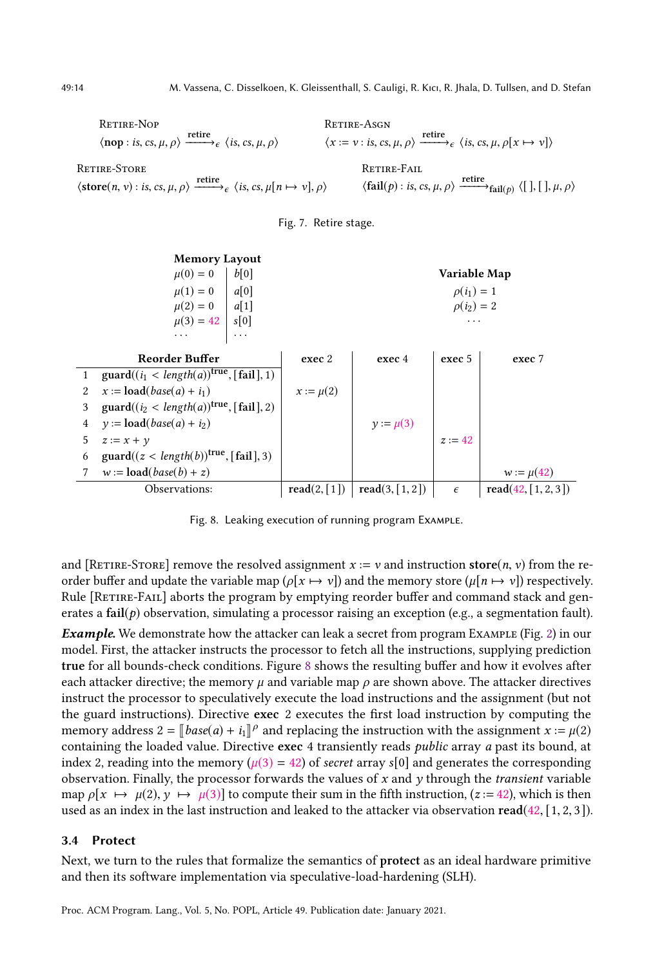<span id="page-13-0"></span>Retire-Nop  $\langle \textbf{nop} : \textit{is}, \textit{cs}, \mu, \rho \rangle \xrightarrow{\textbf{retrie}} \langle \textit{is}, \textit{cs}, \mu, \rho \rangle$ Retire-Asgn  $\langle x := v : \text{is, cs, } \mu, \rho \rangle \xrightarrow{\text{retire}} \{ \text{is, cs, } \mu, \rho [x \mapsto v] \rangle$ Retire-Store  $\langle \text{store}(n, v) : \text{is, cs, } \mu, \rho \rangle \xrightarrow{\text{retrie}} \{ \text{is, cs, } \mu[n \mapsto v], \rho \rangle$ Retire-Fail  $\langle \text{fail}(p) : \text{is, cs, } \mu, \rho \rangle \xrightarrow{\text{retire}}_{\text{fail}(p)} \langle [ \ ] , [ \ ] , \mu, \rho \rangle$ 



<span id="page-13-1"></span>

Fig. 8. Leaking execution of running program Example.

and [RETIRE-STORE] remove the resolved assignment  $x := v$  and instruction store(n, v) from the reorder buffer and update the variable map ( $\rho[x \mapsto y]$ ) and the memory store ( $\mu[n \mapsto y]$ ) respectively. Rule [RETIRE-FAIL] aborts the program by emptying reorder buffer and command stack and generates a  $fail(p)$  observation, simulating a processor raising an exception (e.g., a segmentation fault).

Example. We demonstrate how the attacker can leak a secret from program Example (Fig. [2\)](#page-5-0) in our model. First, the attacker instructs the processor to fetch all the instructions, supplying prediction true for all bounds-check conditions. Figure [8](#page-13-1) shows the resulting buffer and how it evolves after each attacker directive; the memory  $\mu$  and variable map  $\rho$  are shown above. The attacker directives instruct the processor to speculatively execute the load instructions and the assignment (but not the guard instructions). Directive exec 2 executes the first load instruction by computing the memory address  $2 = [\text{base}(a) + i_1]^p$  and replacing the instruction with the assignment  $x := \mu(2)$ <br>containing the loaded value. Directive exec 4 transiently reads *public* array *a* past its bound, at containing the loaded value. Directive exec 4 transiently reads public array a past its bound, at index 2, reading into the memory ( $\mu$ (3) = 42) of *secret* array s[0] and generates the corresponding observation. Finally, the processor forwards the values of  $x$  and  $y$  through the *transient* variable map  $\rho[x \mapsto \mu(2), y \mapsto \mu(3)]$  to compute their sum in the fifth instruction, (z := 42), which is then used as an index in the last instruction and leaked to the attacker via observation  $\text{read}(42, [1, 2, 3])$ .

#### 3.4 Protect

Next, we turn to the rules that formalize the semantics of protect as an ideal hardware primitive and then its software implementation via speculative-load-hardening (SLH).

Proc. ACM Program. Lang., Vol. 5, No. POPL, Article 49. Publication date: January 2021.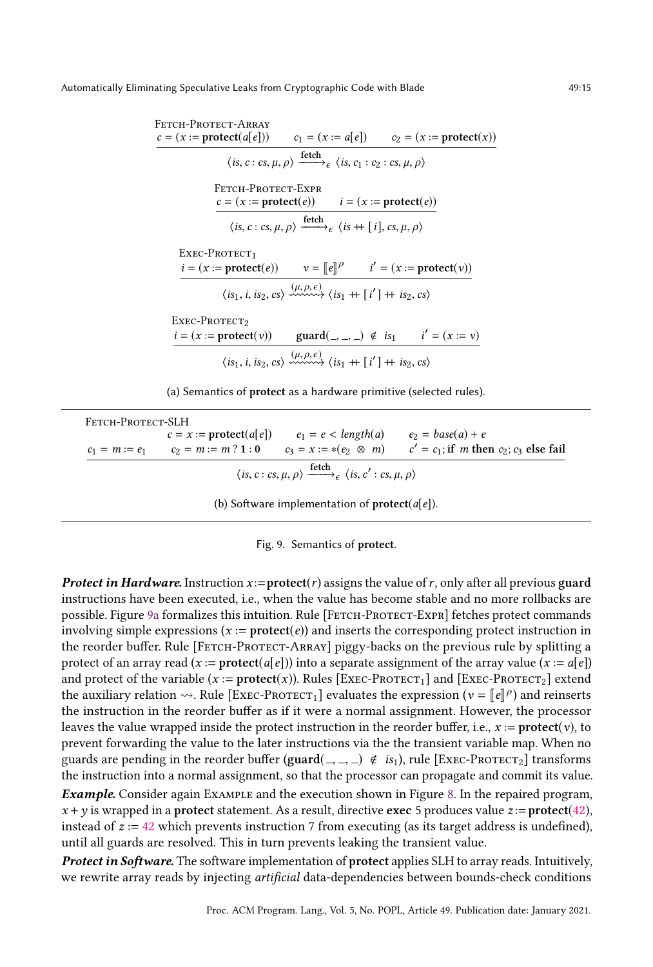<span id="page-14-0"></span>

| FETCH-PROTECT-ARRAY<br>$c = (x := \text{protect}(a[e]))$ $c_1 = (x := a[e])$ $c_2 = (x := \text{protect}(x))$ |                                                                                                                                                                     |  |
|---------------------------------------------------------------------------------------------------------------|---------------------------------------------------------------------------------------------------------------------------------------------------------------------|--|
|                                                                                                               |                                                                                                                                                                     |  |
|                                                                                                               | $\langle$ is, c : cs, $\mu$ , $\rho$ $\rangle$ $\xrightarrow{\text{fetch}}_{\epsilon}$ $\langle$ is, c <sub>1</sub> : c <sub>2</sub> : cs, $\mu$ , $\rho$ $\rangle$ |  |
| FETCH-PROTECT-EXPR                                                                                            |                                                                                                                                                                     |  |
|                                                                                                               | $c = (x := \text{protect}(e))$ $i = (x := \text{protect}(e))$                                                                                                       |  |
|                                                                                                               | $\langle is, c: cs, \mu, \rho \rangle \xrightarrow{\text{ fetch}} \epsilon \langle is + [i], cs, \mu, \rho \rangle$                                                 |  |
| $Exec-PROTECT1$                                                                                               |                                                                                                                                                                     |  |
| $i = (x := protect(e))$ $v = [e]^{p}$ $i' = (x := protect(v))$                                                |                                                                                                                                                                     |  |
|                                                                                                               | $\langle i s_1, i, i s_2, c s \rangle \xrightarrow{\langle \mu, \rho, \epsilon \rangle} \langle i s_1 + [i'] + i s_2, c s \rangle$                                  |  |
| Exec-Protect?                                                                                                 |                                                                                                                                                                     |  |
| $i = (x := \text{protect}(v))$ guard $(, ) \notin is_1$ $i' = (x := v)$                                       |                                                                                                                                                                     |  |
|                                                                                                               | $\langle is_1, i, is_2, cs \rangle \xrightarrow{(\mu, \rho, \epsilon)} \langle is_1 + [i'] + is_2, cs \rangle$                                                      |  |

(a) Semantics of protect as a hardware primitive (selected rules).

| Fetch-Protect-SLH                                                                                       |  |                                                                                        |                                                                                                                      |  |  |
|---------------------------------------------------------------------------------------------------------|--|----------------------------------------------------------------------------------------|----------------------------------------------------------------------------------------------------------------------|--|--|
|                                                                                                         |  | $c = x :=$ <b>protect</b> ( $a[e]$ ) $e_1 = e <$ length( $a$ ) $e_2 =$ base( $a$ ) + e |                                                                                                                      |  |  |
|                                                                                                         |  |                                                                                        | $c_1 = m := e_1$ $c_2 = m := m$ ? 1 : 0 $c_3 = x := *(e_2 \otimes m)$ $c' = c_1$ ; if m then $c_2$ ; $c_3$ else fail |  |  |
| $\langle is, c: cs, \mu, \rho \rangle \xrightarrow{\text{fetch}} \langle is, c': cs, \mu, \rho \rangle$ |  |                                                                                        |                                                                                                                      |  |  |
| (b) Software implementation of $\mathbf{protect}(a[e])$ .                                               |  |                                                                                        |                                                                                                                      |  |  |

|  | Fig. 9. Semantics of protect. |  |
|--|-------------------------------|--|
|  |                               |  |

**Protect in Hardware.** Instruction  $x :=$ **protect** $(r)$  assigns the value of r, only after all previous guard instructions have been executed, i.e., when the value has become stable and no more rollbacks are possible. Figure [9a](#page-14-0) formalizes this intuition. Rule [FETCH-PROTECT-EXPR] fetches protect commands involving simple expressions  $(x := \text{protect}(e))$  and inserts the corresponding protect instruction in the reorder buffer. Rule [FETCH-PROTECT-ARRAY] piggy-backs on the previous rule by splitting a protect of an array read  $(x := \text{protec}(a[e]))$  into a separate assignment of the array value  $(x := a[e])$ and protect of the variable  $(x := \text{protest}(x))$ . Rules  $[\text{Exec-ProTECT}_1]$  and  $[\text{Exec-ProTECT}_2]$  extend the auxiliary relation  $\rightsquigarrow$ . Rule [ExEC-PROTECT<sub>1</sub>] evaluates the expression ( $v = [e]\rho$ ) and reinserts the instruction in the reader buffer as if it were a normal essignment. However, the processor the instruction in the reorder buffer as if it were a normal assignment. However, the processor leaves the value wrapped inside the protect instruction in the reorder buffer, i.e.,  $x :=$  protect(v), to prevent forwarding the value to the later instructions via the the transient variable map. When no guards are pending in the reorder buffer (guard( $\leq, \leq, \leq \epsilon$ ), rule [Exec-Protect<sub>2</sub>] transforms the instruction into a normal assignment, so that the processor can propagate and commit its value.

Example. Consider again Example and the execution shown in Figure [8.](#page-13-1) In the repaired program,  $x + y$  is wrapped in a protect statement. As a result, directive exec 5 produces value  $z :=$  protect(42), instead of  $z := 42$  which prevents instruction 7 from executing (as its target address is undefined), until all guards are resolved. This in turn prevents leaking the transient value.

Protect in Software. The software implementation of protect applies SLH to array reads. Intuitively, we rewrite array reads by injecting artificial data-dependencies between bounds-check conditions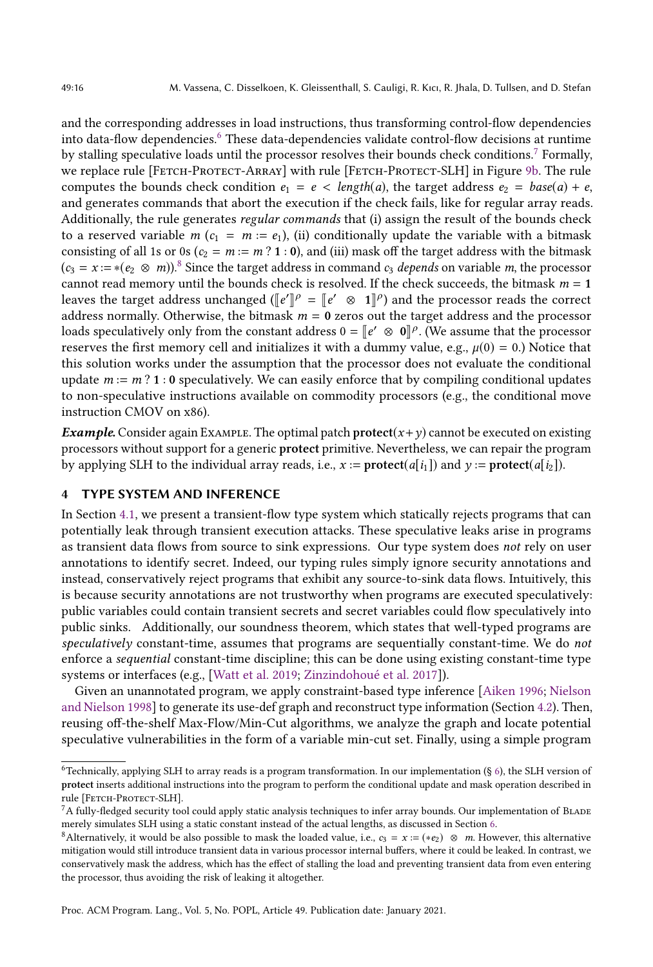and the corresponding addresses in load instructions, thus transforming control-flow dependencies into data-flow dependencies.<sup>[6](#page-15-1)</sup> These data-dependencies validate control-flow decisions at runtime by stalling speculative loads until the processor resolves their bounds check conditions.[7](#page-15-2) Formally, we replace rule [FETCH-PROTECT-ARRAY] with rule [FETCH-PROTECT-SLH] in Figure [9b.](#page-14-0) The rule computes the bounds check condition  $e_1 = e < length(a)$ , the target address  $e_2 = base(a) + e$ , and generates commands that abort the execution if the check fails, like for regular array reads. Additionally, the rule generates regular commands that (i) assign the result of the bounds check to a reserved variable  $m (c_1 = m := e_1)$ , (ii) conditionally update the variable with a bitmask consisting of all 1s or 0s ( $c_2 = m := m$  ? 1 : 0), and (iii) mask off the target address with the bitmask  $(c_3 = x := *(e_2 \otimes m))$ .<sup>[8](#page-15-3)</sup> Since the target address in command  $c_3$  depends on variable m, the processor cannot read memory until the bounds check is resolved. If the check succeeds, the bitmask  $m = 1$ leaves the target address unchanged ( $[\![e']\!]^\rho = [\![e' \otimes 1]\!]^\rho$ ) and the processor reads the correct address pormally Otherwise, the bitmook  $m = 0$  gaves out the target address and the processor address normally. Otherwise, the bitmask  $m = 0$  zeros out the target address and the processor loads speculatively only from the constant address  $0 = [e' \otimes 0]^\rho$ . (We assume that the processor<br>recentes the first memory cell and initializes it with a dymmy value  $\alpha \circ \psi(0) = 0$ .) Notice that reserves the first memory cell and initializes it with a dummy value, e.g.,  $\mu(0) = 0$ .) Notice that this solution works under the assumption that the processor does not evaluate the conditional update  $m := m$  ? 1 : 0 speculatively. We can easily enforce that by compiling conditional updates to non-speculative instructions available on commodity processors (e.g., the conditional move instruction CMOV on x86).

**Example.** Consider again EXAMPLE. The optimal patch protect( $x + y$ ) cannot be executed on existing processors without support for a generic protect primitive. Nevertheless, we can repair the program by applying SLH to the individual array reads, i.e.,  $x := \text{protet}(a[i_1])$  and  $y := \text{protet}(a[i_2])$ .

# <span id="page-15-0"></span>4 TYPE SYSTEM AND INFERENCE

In Section [4.1,](#page-16-0) we present a transient-flow type system which statically rejects programs that can potentially leak through transient execution attacks. These speculative leaks arise in programs as transient data flows from source to sink expressions. Our type system does not rely on user annotations to identify secret. Indeed, our typing rules simply ignore security annotations and instead, conservatively reject programs that exhibit any source-to-sink data flows. Intuitively, this is because security annotations are not trustworthy when programs are executed speculatively: public variables could contain transient secrets and secret variables could flow speculatively into public sinks. Additionally, our soundness theorem, which states that well-typed programs are speculatively constant-time, assumes that programs are sequentially constant-time. We do not enforce a sequential constant-time discipline; this can be done using existing constant-time type systems or interfaces (e.g., [\[Watt et al.](#page-29-1) [2019;](#page-29-1) [Zinzindohoué et al.](#page-29-4) [2017\]](#page-29-4)).

Given an unannotated program, we apply constraint-based type inference [\[Aiken](#page-26-0) [1996;](#page-26-0) [Nielson](#page-28-15) [and Nielson](#page-28-15) [1998\]](#page-28-15) to generate its use-def graph and reconstruct type information (Section [4.2\)](#page-17-0). Then, reusing off-the-shelf Max-Flow/Min-Cut algorithms, we analyze the graph and locate potential speculative vulnerabilities in the form of a variable min-cut set. Finally, using a simple program

Proc. ACM Program. Lang., Vol. 5, No. POPL, Article 49. Publication date: January 2021.

<span id="page-15-1"></span> $6$ Technically, applying SLH to array reads is a program transformation. In our implementation (§ [6\)](#page-21-0), the SLH version of protect inserts additional instructions into the program to perform the conditional update and mask operation described in rule [FETCH-PROTECT-SLH].

<span id="page-15-2"></span> $7A$  fully-fledged security tool could apply static analysis techniques to infer array bounds. Our implementation of BLADE merely simulates SLH using a static constant instead of the actual lengths, as discussed in Section [6.](#page-21-0)

<span id="page-15-3"></span><sup>8</sup>Alternatively, it would be also possible to mask the loaded value, i.e.,  $c_3 = x := (*e_2) \otimes m$ . However, this alternative mitigation would still introduce transient data in various processor internal buffers, where it could be leaked. In contrast, we conservatively mask the address, which has the effect of stalling the load and preventing transient data from even entering the processor, thus avoiding the risk of leaking it altogether.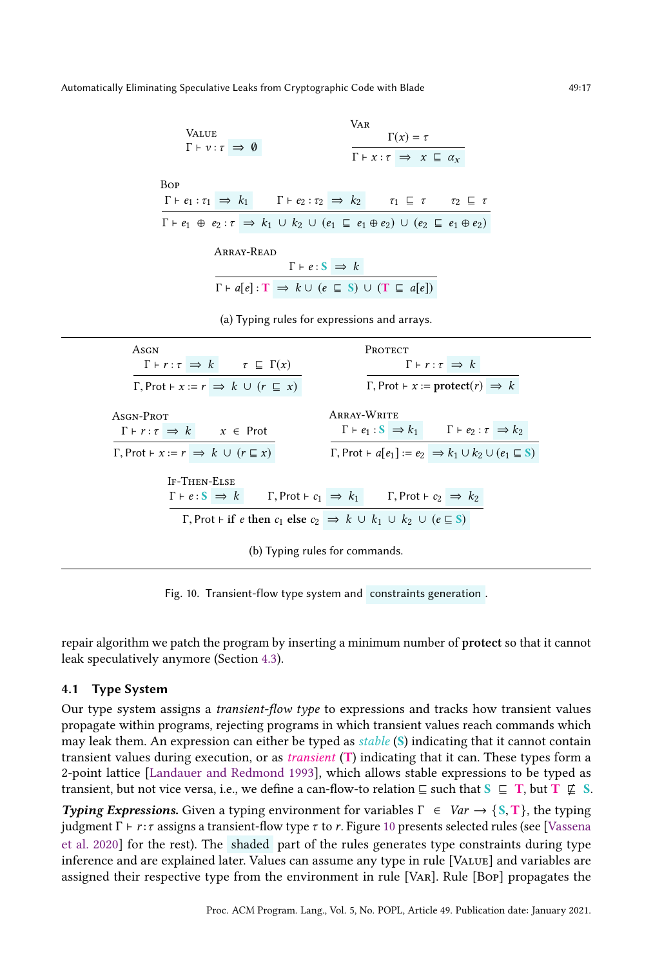<span id="page-16-1"></span>

| <b>VALUE</b><br>$\Gamma \vdash v : \tau \implies \emptyset$                                                                                        | VAR<br>$\Gamma(x) = \tau$<br>$\Gamma \vdash x : \tau \implies x \sqsubseteq \alpha_x$                                                                                                                                                                                              |
|----------------------------------------------------------------------------------------------------------------------------------------------------|------------------------------------------------------------------------------------------------------------------------------------------------------------------------------------------------------------------------------------------------------------------------------------|
| <b>Bop</b>                                                                                                                                         | $\Gamma \vdash e_1 : \tau_1 \implies k_1$ $\Gamma \vdash e_2 : \tau_2 \implies k_2$ $\tau_1 \sqsubseteq \tau$ $\tau_2 \sqsubseteq \tau$                                                                                                                                            |
| ARRAY-READ                                                                                                                                         | $\Gamma \vdash e_1 \oplus e_2 : \tau \implies k_1 \cup k_2 \cup (e_1 \sqsubseteq e_1 \oplus e_2) \cup (e_2 \sqsubseteq e_1 \oplus e_2)$<br>$\Gamma \vdash e : \mathbf{S} \Rightarrow k$<br>$\Gamma \vdash a[e] : T \Rightarrow k \cup (e \sqsubseteq S) \cup (T \sqsubseteq a[e])$ |
|                                                                                                                                                    | (a) Typing rules for expressions and arrays.                                                                                                                                                                                                                                       |
| ASGN<br>$\Gamma \vdash r : \tau \implies k \qquad \tau \sqsubseteq \Gamma(x)$<br>$\Gamma$ , Prot $\vdash x := r \implies k \cup (r \sqsubseteq x)$ | PROTECT<br>$\Gamma \vdash r : \tau \implies k$<br>$\Gamma$ , Prot $\vdash x := \text{protect}(r) \Rightarrow k$                                                                                                                                                                    |
| ASGN-PROT<br>$\Gamma \vdash r : \tau \implies k \qquad x \in \text{Prot}$                                                                          | ARRAY-WRITE<br>$\Gamma \vdash e_1 : \mathbf{S} \implies k_1$ $\Gamma \vdash e_2 : \tau \implies k_2$                                                                                                                                                                               |
| $\Gamma$ , Prot $\vdash x := r \implies k \cup (r \sqsubseteq x)$<br><b>IF-THEN-ELSE</b>                                                           | $\Gamma$ , Prot $\vdash a[e_1] := e_2 \Rightarrow k_1 \cup k_2 \cup (e_1 \sqsubseteq S)$                                                                                                                                                                                           |
|                                                                                                                                                    | $\Gamma \vdash e : \mathbf{S} \Rightarrow k$ $\Gamma, \text{Prot} \vdash c_1 \Rightarrow k_1$ $\Gamma, \text{Prot} \vdash c_2 \Rightarrow k_2$                                                                                                                                     |

Fig. 10. Transient-flow type system and constraints generation .

repair algorithm we patch the program by inserting a minimum number of protect so that it cannot leak speculatively anymore (Section [4.3\)](#page-19-1).

# <span id="page-16-0"></span>4.1 Type System

Our type system assigns a transient-flow type to expressions and tracks how transient values propagate within programs, rejecting programs in which transient values reach commands which may leak them. An expression can either be typed as  $stable$  (S) indicating that it cannot contain transient values during execution, or as transient (T) indicating that it can. These types form a 2-point lattice [\[Landauer and Redmond](#page-28-16) [1993\]](#page-28-16), which allows stable expressions to be typed as transient, but not vice versa, i.e., we define a can-flow-to relation  $\subseteq$  such that  $S \subseteq T$ , but  $T \nsubseteq S$ .

**Typing Expressions.** Given a typing environment for variables  $\Gamma \in Var \rightarrow \{S, T\}$ , the typing judgment Γ  $\vdash$  r: τ assigns a transient-flow type τ to r. Figure [10](#page-16-1) presents selected rules (see [\[Vassena](#page-29-6) [et al.](#page-29-6) [2020\]](#page-29-6) for the rest). The shaded part of the rules generates type constraints during type inference and are explained later. Values can assume any type in rule [Value] and variables are assigned their respective type from the environment in rule [Var]. Rule [Bop] propagates the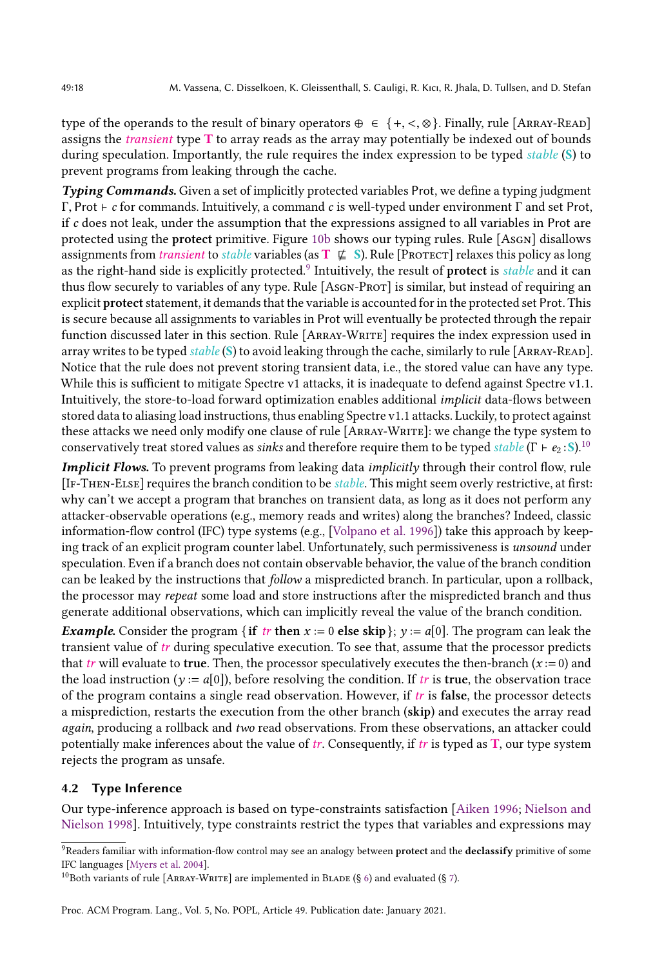type of the operands to the result of binary operators  $\oplus \in \{+, <, \otimes\}$ . Finally, rule [ARRAY-READ] assigns the transient type T to array reads as the array may potentially be indexed out of bounds during speculation. Importantly, the rule requires the index expression to be typed *stable* (S) to prevent programs from leaking through the cache.

Typing Commands. Given a set of implicitly protected variables Prot, we define a typing judgment Γ, Prot  $\vdash$  c for commands. Intuitively, a command c is well-typed under environment Γ and set Prot, if  $c$  does not leak, under the assumption that the expressions assigned to all variables in Prot are protected using the protect primitive. Figure [10b](#page-16-1) shows our typing rules. Rule [AsGN] disallows assignments from *transient* to *stable* variables (as  $T \nsubseteq S$ ). Rule [PROTECT] relaxes this policy as long as the right-hand side is explicitly protected.<sup>[9](#page-17-1)</sup> Intuitively, the result of **protect** is *stable* and it can thus flow securely to variables of any type. Rule [AsGN-PROT] is similar, but instead of requiring an explicit protect statement, it demands that the variable is accounted for in the protected set Prot. This is secure because all assignments to variables in Prot will eventually be protected through the repair function discussed later in this section. Rule [Array-Write] requires the index expression used in array writes to be typed stable (S) to avoid leaking through the cache, similarly to rule [ARRAY-READ]. Notice that the rule does not prevent storing transient data, i.e., the stored value can have any type. While this is sufficient to mitigate Spectre v1 attacks, it is inadequate to defend against Spectre v1.1. Intuitively, the store-to-load forward optimization enables additional implicit data-flows between stored data to aliasing load instructions, thus enabling Spectre v1.1 attacks. Luckily, to protect against these attacks we need only modify one clause of rule [Array-Write]: we change the type system to conservatively treat stored values as *sinks* and therefore require them to be typed *stable* (Γ  $\vdash e_2$  : S).<sup>[10](#page-17-2)</sup>

Implicit Flows. To prevent programs from leaking data *implicitly* through their control flow, rule [If-Then-Else] requires the branch condition to be stable. This might seem overly restrictive, at first: why can't we accept a program that branches on transient data, as long as it does not perform any attacker-observable operations (e.g., memory reads and writes) along the branches? Indeed, classic information-flow control (IFC) type systems (e.g., [\[Volpano et al.](#page-29-7) [1996\]](#page-29-7)) take this approach by keeping track of an explicit program counter label. Unfortunately, such permissiveness is unsound under speculation. Even if a branch does not contain observable behavior, the value of the branch condition can be leaked by the instructions that follow a mispredicted branch. In particular, upon a rollback, the processor may repeat some load and store instructions after the mispredicted branch and thus generate additional observations, which can implicitly reveal the value of the branch condition.

**Example.** Consider the program { if tr then  $x := 0$  else skip};  $y := a[0]$ . The program can leak the transient value of  $tr$  during speculative execution. To see that, assume that the processor predicts that tr will evaluate to true. Then, the processor speculatively executes the then-branch  $(x := 0)$  and the load instruction ( $y := a[0]$ ), before resolving the condition. If tr is true, the observation trace of the program contains a single read observation. However, if  $tr$  is false, the processor detects a misprediction, restarts the execution from the other branch (skip) and executes the array read again, producing a rollback and two read observations. From these observations, an attacker could potentially make inferences about the value of  $tr$ . Consequently, if  $tr$  is typed as  $T$ , our type system rejects the program as unsafe.

# <span id="page-17-0"></span>4.2 Type Inference

Our type-inference approach is based on type-constraints satisfaction [\[Aiken](#page-26-0) [1996;](#page-26-0) [Nielson and](#page-28-15) [Nielson](#page-28-15) [1998\]](#page-28-15). Intuitively, type constraints restrict the types that variables and expressions may

<span id="page-17-1"></span><sup>&</sup>lt;sup>9</sup>Readers familiar with information-flow control may see an analogy between protect and the declassify primitive of some IFC languages [\[Myers et al.](#page-28-17) [2004\]](#page-28-17).

<span id="page-17-2"></span><sup>&</sup>lt;sup>10</sup>Both variants of rule [ARRAY-WRITE] are implemented in BLADE (§ [6\)](#page-21-0) and evaluated (§ [7\)](#page-22-0).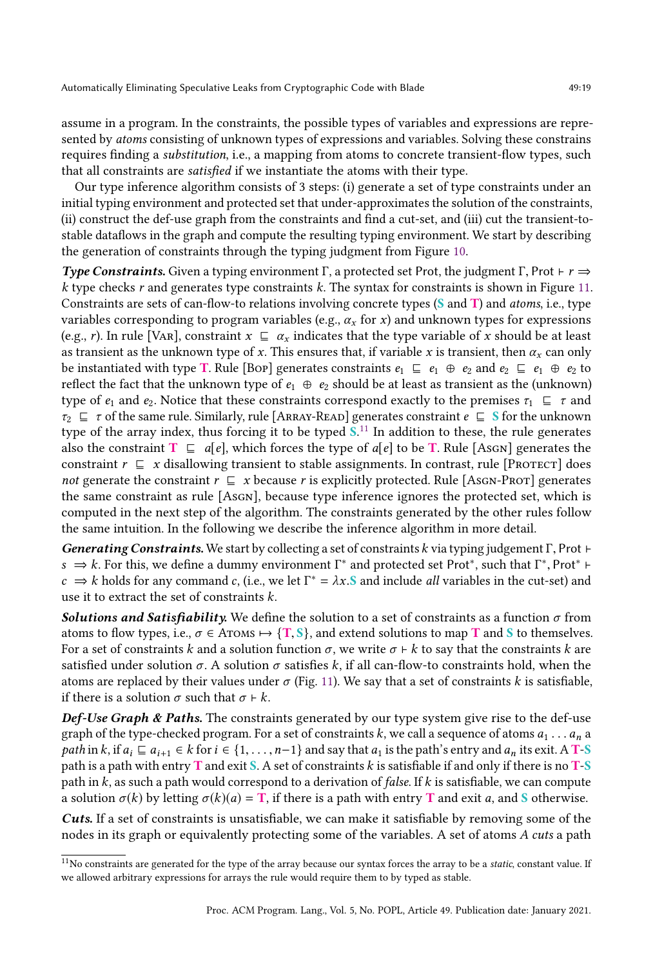assume in a program. In the constraints, the possible types of variables and expressions are represented by atoms consisting of unknown types of expressions and variables. Solving these constrains requires finding a substitution, i.e., a mapping from atoms to concrete transient-flow types, such that all constraints are satisfied if we instantiate the atoms with their type.

Our type inference algorithm consists of 3 steps: (i) generate a set of type constraints under an initial typing environment and protected set that under-approximates the solution of the constraints, (ii) construct the def-use graph from the constraints and find a cut-set, and (iii) cut the transient-tostable dataflows in the graph and compute the resulting typing environment. We start by describing the generation of constraints through the typing judgment from Figure [10.](#page-16-1)

Type Constraints. Given a typing environment Γ, a protected set Prot, the judgment Γ, Prot  $\vdash r \Rightarrow$ k type checks r and generates type constraints k. The syntax for constraints is shown in Figure [11.](#page-19-2) Constraints are sets of can-flow-to relations involving concrete types (S and T) and atoms, i.e., type variables corresponding to program variables (e.g.,  $\alpha_x$  for x) and unknown types for expressions (e.g., r). In rule [VAR], constraint  $x \subseteq \alpha_x$  indicates that the type variable of x should be at least as transient as the unknown type of x. This ensures that, if variable x is transient, then  $\alpha_x$  can only be instantiated with type T. Rule [Bop] generates constraints  $e_1 \subseteq e_1 \oplus e_2$  and  $e_2 \subseteq e_1 \oplus e_2$  to reflect the fact that the unknown type of  $e_1 \oplus e_2$  should be at least as transient as the (unknown) type of  $e_1$  and  $e_2$ . Notice that these constraints correspond exactly to the premises  $\tau_1 \subseteq \tau$  and  $\tau_2 \subseteq \tau$  of the same rule. Similarly, rule [ARRAY-READ] generates constraint  $e \subseteq S$  for the unknown type of the array index, thus forcing it to be typed  $S<sup>11</sup>$  $S<sup>11</sup>$  $S<sup>11</sup>$  In addition to these, the rule generates also the constraint  $T \subseteq a[e]$ , which forces the type of  $a[e]$  to be T. Rule [Asgn] generates the constraint  $r \subseteq x$  disallowing transient to stable assignments. In contrast, rule [PROTECT] does not generate the constraint  $r \subseteq x$  because r is explicitly protected. Rule [Asgn-Prot] generates the same constraint as rule [Asgn], because type inference ignores the protected set, which is computed in the next step of the algorithm. The constraints generated by the other rules follow the same intuition. In the following we describe the inference algorithm in more detail.

Generating Constraints. We start by collecting a set of constraints k via typing judgement  $\Gamma$ , Prot  $\vdash$  $s \Rightarrow k$ . For this, we define a dummy environment  $\Gamma^*$  and protected set Prot<sup>\*</sup>, such that  $\Gamma^*$ , Prot<sup>∗</sup> +  $\sim k$  holds for any command  $c$  (i.e., we let  $\Gamma^* = \lambda x$  S and include all variables in the cut-set) and  $c \Rightarrow k$  holds for any command c, (i.e., we let  $\Gamma^* = \lambda x$ . S and include *all* variables in the cut-set) and use it to extract the set of constraints k use it to extract the set of constraints k.

**Solutions and Satisfiability.** We define the solution to a set of constraints as a function  $\sigma$  from atoms to flow types, i.e.,  $\sigma \in$  Atoms  $\mapsto$  {T, S}, and extend solutions to map T and S to themselves. For a set of constraints k and a solution function  $\sigma$ , we write  $\sigma \vdash k$  to say that the constraints k are satisfied under solution  $\sigma$ . A solution  $\sigma$  satisfies k, if all can-flow-to constraints hold, when the atoms are replaced by their values under  $\sigma$  (Fig. [11\)](#page-19-2). We say that a set of constraints k is satisfiable, if there is a solution  $\sigma$  such that  $\sigma \vdash k$ .

**Def-Use Graph & Paths.** The constraints generated by our type system give rise to the def-use graph of the type-checked program. For a set of constraints k, we call a sequence of atoms  $a_1 \ldots a_n$  a *path* in k, if  $a_i \sqsubseteq a_{i+1} \in k$  for  $i \in \{1, \ldots, n-1\}$  and say that  $a_1$  is the path's entry and  $a_n$  its exit. A T-S path is a path with entry **T** and exit S. A set of constraints k is satisfiable if and only if there is no **T-S** path in k, as such a path would correspond to a derivation of *false*. If k is satisfiable, we can compute a solution  $\sigma(k)$  by letting  $\sigma(k)(a) = T$ , if there is a path with entry T and exit a, and S otherwise.

Cuts. If a set of constraints is unsatisfiable, we can make it satisfiable by removing some of the nodes in its graph or equivalently protecting some of the variables. A set of atoms A cuts a path

<span id="page-18-0"></span> $11$ No constraints are generated for the type of the array because our syntax forces the array to be a static, constant value. If we allowed arbitrary expressions for arrays the rule would require them to by typed as stable.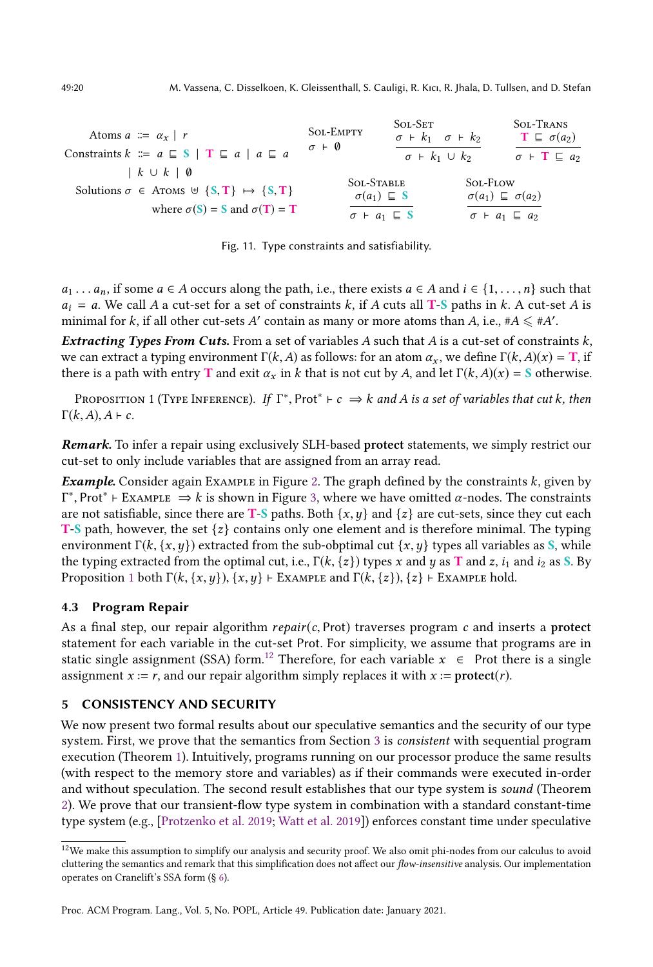<span id="page-19-2"></span>

| Atoms $a \equiv \alpha_x   r$<br>Constraints $k \equiv a \sqsubseteq S \mid T \sqsubseteq a \mid a \sqsubseteq a$               | <b>SOL-EMPTY</b><br>$\sigma + \varnothing$                                       | <b>SOL-SET</b><br>$\sigma$ + $k_1$ $\sigma$ + $k_2$<br>$\sigma$ + $k_1 \cup k_2$ |                                                                                              | <b>SOL-TRANS</b><br>$\mathbf{T} \subseteq \sigma(a_2)$<br>$\sigma$ + T $\sqsubseteq a_2$ |
|---------------------------------------------------------------------------------------------------------------------------------|----------------------------------------------------------------------------------|----------------------------------------------------------------------------------|----------------------------------------------------------------------------------------------|------------------------------------------------------------------------------------------|
| $k \cup k$   0<br>Solutions $\sigma \in$ Aroms $\forall \{S, T\} \mapsto \{S, T\}$<br>where $\sigma(S) = S$ and $\sigma(T) = T$ | <b>SOL-STABLE</b><br>$\sigma(a_1) \subseteq S$<br>$\sigma$ + $a_1 \sqsubseteq S$ |                                                                                  | <b>SOL-FLOW</b><br>$\sigma(a_1) \sqsubseteq \sigma(a_2)$<br>$\sigma$ + $a_1 \sqsubseteq a_2$ |                                                                                          |

Fig. 11. Type constraints and satisfiability.

 $a_1 \ldots a_n$ , if some  $a \in A$  occurs along the path, i.e., there exists  $a \in A$  and  $i \in \{1, \ldots, n\}$  such that  $a_i = a$ . We call A a cut-set for a set of constraints k, if A cuts all T-S paths in k. A cut-set A is minimal for k, if all other cut-sets A' contain as many or more atoms than A, i.e.,  $#A \leq #A'$ .

**Extracting Types From Cuts.** From a set of variables A such that A is a cut-set of constraints  $k$ , we can extract a typing environment  $\Gamma(k,A)$  as follows: for an atom  $\alpha_x$ , we define  $\Gamma(k,A)(x) = T$ , if there is a path with entry T and exit  $\alpha_x$  in k that is not cut by A, and let  $\Gamma(k,A)(x) = S$  otherwise.

<span id="page-19-3"></span>PROPOSITION 1 (TYPE INFERENCE). If  $\Gamma^*$ , Prot<sup>\*</sup>  $\vdash c \Rightarrow k$  and A is a set of variables that cut k, then  $k$  (A)  $A \vdash c$ .  $\Gamma(k, A), A \vdash c.$ 

Remark. To infer a repair using exclusively SLH-based protect statements, we simply restrict our cut-set to only include variables that are assigned from an array read.

**Example.** Consider again Example in Figure [2.](#page-5-0) The graph defined by the constraints  $k$ , given by are not satisfiable, since there are **T-S** paths. Both  $\{x, y\}$  and  $\{z\}$  are cut-sets, since they cut each **T-S** path, however, the set  $\{z\}$  contains only one element and is therefore minimal. The typing <sup>\*</sup>, Prot<sup>∗</sup> ⊢ Example  $\Rightarrow$  k is shown in Figure [3,](#page-5-1) where we have omitted α-nodes. The constraints<br>re not satisfiable, since there are **T-S** paths. Both  $\{x, y\}$  and  $\{z\}$  are cut-sets, since they cut each **T-S** path, however, the set  $\{z\}$  contains only one element and is therefore minimal. The typing environment  $\Gamma(k, \{x, y\})$  extracted from the sub-obptimal cut  $\{x, y\}$  types all variables as S, while the typing extracted from the optimal cut, i.e.,  $\Gamma(k, \{z\})$  types x and y as T and z, i<sub>1</sub> and i<sub>2</sub> as S. By Proposition [1](#page-19-3) both  $\Gamma(k, \{x, y\}), \{x, y\}$  ⊢ Example and  $\Gamma(k, \{z\}), \{z\}$  ⊢ Example hold.

# <span id="page-19-1"></span>4.3 Program Repair

As a final step, our repair algorithm  $repair(c, Prot)$  traverses program c and inserts a protect statement for each variable in the cut-set Prot. For simplicity, we assume that programs are in static single assignment (SSA) form.<sup>[12](#page-19-4)</sup> Therefore, for each variable  $x \in$  Prot there is a single assignment  $x = r$ , and our repair algorithm simply replaces it with  $x :=$  protect(*r*).

# <span id="page-19-0"></span>5 CONSISTENCY AND SECURITY

We now present two formal results about our speculative semantics and the security of our type system. First, we prove that the semantics from Section [3](#page-7-0) is consistent with sequential program execution (Theorem [1\)](#page-20-0). Intuitively, programs running on our processor produce the same results (with respect to the memory store and variables) as if their commands were executed in-order and without speculation. The second result establishes that our type system is sound (Theorem [2\)](#page-20-1). We prove that our transient-flow type system in combination with a standard constant-time type system (e.g., [\[Protzenko et al.](#page-28-0) [2019;](#page-28-0) [Watt et al.](#page-29-1) [2019\]](#page-29-1)) enforces constant time under speculative

<span id="page-19-4"></span><sup>&</sup>lt;sup>12</sup>We make this assumption to simplify our analysis and security proof. We also omit phi-nodes from our calculus to avoid cluttering the semantics and remark that this simplification does not affect our flow-insensitive analysis. Our implementation operates on Cranelift's SSA form (§ [6\)](#page-21-0).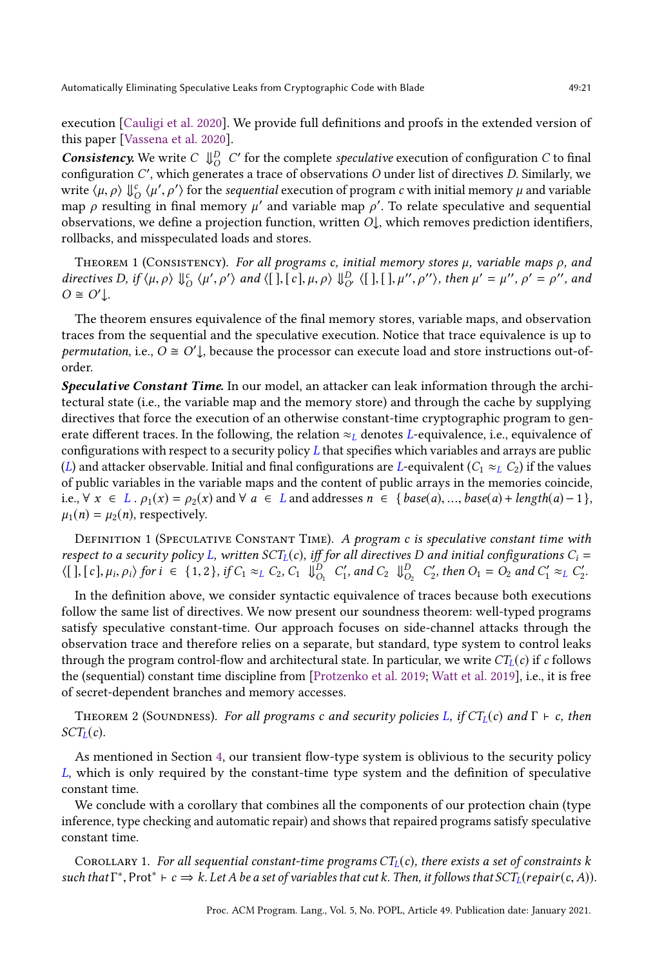execution [\[Cauligi et al.](#page-27-5) [2020\]](#page-27-5). We provide full definitions and proofs in the extended version of this paper [\[Vassena et al.](#page-29-6) [2020\]](#page-29-6).

**Consistency.** We write  $C \Downarrow_{O}^{D} C'$  for the complete speculative execution of configuration C to final configuration C ′ , which generates a trace of observations O under list of directives D. Similarly, we write  $\langle \mu, \rho \rangle \Downarrow_{\mathcal{O}}^c \langle \mu', \rho' \rangle$  for the sequential execution of program c with initial memory  $\mu$  and variable<br>map a resulting in final memory  $\mu'$  and variable map  $\alpha'$ . To relate speculative and sequential map  $\rho$  resulting in final memory  $\mu'$  and variable map  $\rho'$ . To relate speculative and sequential observations we define a projection function written  $\Omega$ , which removes prediction identifiers observations, we define a projection function, written  $O\downarrow$ , which removes prediction identifiers, rollbacks, and misspeculated loads and stores.

<span id="page-20-0"></span>THEOREM 1 (CONSISTENCY). For all programs c, initial memory stores  $\mu$ , variable maps  $\rho$ , and directives D, if  $\langle \mu, \rho \rangle \Downarrow_{O}^{c} \langle \mu' \rangle$  $\overline{r}$  $\langle \rangle$  and  $\langle [\ ] , [\ c] , \mu, \rho \rangle \Downarrow_{O'}^D \langle [\ ] , [\ ] , \mu''$  $, \rho'' \rangle$ , then  $\mu' = \mu''$ ,  $\rho' = \rho''$ , and  $O \cong O' \downarrow$ .

The theorem ensures equivalence of the final memory stores, variable maps, and observation traces from the sequential and the speculative execution. Notice that trace equivalence is up to permutation, i.e.,  $\overrightarrow{O} \cong O' \downarrow$ , because the processor can execute load and store instructions out-oforder.

Speculative Constant Time. In our model, an attacker can leak information through the architectural state (i.e., the variable map and the memory store) and through the cache by supplying directives that force the execution of an otherwise constant-time cryptographic program to generate different traces. In the following, the relation  $\approx_L$  denotes L-equivalence, i.e., equivalence of configurations with respect to a security policy  $L$  that specifies which variables and arrays are public (L) and attacker observable. Initial and final configurations are L-equivalent ( $C_1 \approx_L C_2$ ) if the values of public variables in the variable maps and the content of public arrays in the memories coincide, i.e.,  $\forall x \in L$ .  $\rho_1(x) = \rho_2(x)$  and  $\forall a \in L$  and addresses  $n \in \{base(a), ..., base(a) + length(a) - 1\}$ ,  $\mu_1(n) = \mu_2(n)$ , respectively.

DEFINITION 1 (SPECULATIVE CONSTANT TIME). A program c is speculative constant time with respect to a security policy L, written SCT<sub>L</sub>(c), iff for all directives D and initial configurations  $C_i$  =  $\langle [\ ] , [\ c] , \mu_i, \rho_i \rangle$  for  $i \in \{1, 2\},$  if  $C_1 \approx_L C_2$ ,  $C_1 \Downarrow_{O_1}^D C'_1$ , and  $C_2 \Downarrow_{O_2}^D C'_2$ , then  $O_1 = O_2$  and  $C'_1 \approx_L C'_2$ .

In the definition above, we consider syntactic equivalence of traces because both executions follow the same list of directives. We now present our soundness theorem: well-typed programs satisfy speculative constant-time. Our approach focuses on side-channel attacks through the observation trace and therefore relies on a separate, but standard, type system to control leaks through the program control-flow and architectural state. In particular, we write  $CT<sub>L</sub>(c)$  if c follows the (sequential) constant time discipline from [\[Protzenko et al.](#page-28-0) [2019;](#page-28-0) [Watt et al.](#page-29-1) [2019\]](#page-29-1), i.e., it is free of secret-dependent branches and memory accesses.

<span id="page-20-1"></span>THEOREM 2 (SOUNDNESS). For all programs c and security policies L, if  $CT<sub>L</sub>(c)$  and  $\Gamma \vdash c$ , then  $SCT<sub>L</sub>(c)$ .

As mentioned in Section [4,](#page-15-0) our transient flow-type system is oblivious to the security policy L, which is only required by the constant-time type system and the definition of speculative constant time.

We conclude with a corollary that combines all the components of our protection chain (type inference, type checking and automatic repair) and shows that repaired programs satisfy speculative constant time.

COROLLARY 1. For all sequential constant-time programs  $CT<sub>L</sub>(c)$ , there exists a set of constraints k such that  $\Gamma^*$ , Prot ${}^* \vdash c \Rightarrow k$ . Let A be a set of variables that cut k. Then, it follows that  $SCT_L(repair(c, A))$ .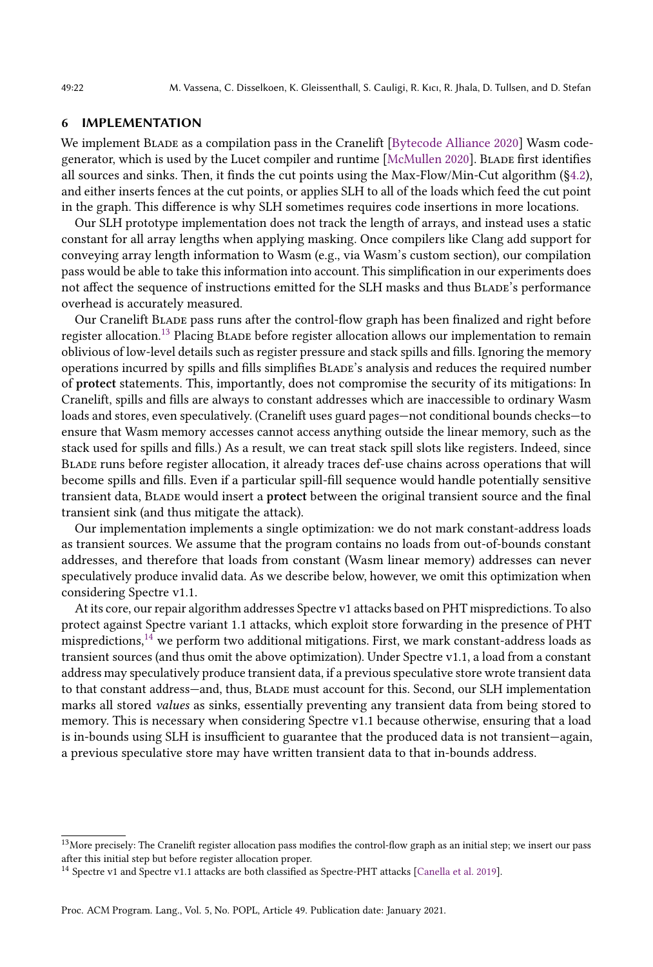### <span id="page-21-0"></span>6 IMPLEMENTATION

We implement BLADE as a compilation pass in the Cranelift [\[Bytecode Alliance](#page-27-8) [2020\]](#page-27-8) Wasm codegenerator, which is used by the Lucet compiler and runtime [\[McMullen](#page-28-18) [2020\]](#page-28-18). Blade first identifies all sources and sinks. Then, it finds the cut points using the Max-Flow/Min-Cut algorithm ([§4.2\)](#page-17-0), and either inserts fences at the cut points, or applies SLH to all of the loads which feed the cut point in the graph. This difference is why SLH sometimes requires code insertions in more locations.

Our SLH prototype implementation does not track the length of arrays, and instead uses a static constant for all array lengths when applying masking. Once compilers like Clang add support for conveying array length information to Wasm (e.g., via Wasm's custom section), our compilation pass would be able to take this information into account. This simplification in our experiments does not affect the sequence of instructions emitted for the SLH masks and thus Blade's performance overhead is accurately measured.

Our Cranelift Blade pass runs after the control-flow graph has been finalized and right before register allocation.<sup>[13](#page-21-1)</sup> Placing BLADE before register allocation allows our implementation to remain oblivious of low-level details such as register pressure and stack spills and fills. Ignoring the memory operations incurred by spills and fills simplifies Blade's analysis and reduces the required number of protect statements. This, importantly, does not compromise the security of its mitigations: In Cranelift, spills and fills are always to constant addresses which are inaccessible to ordinary Wasm loads and stores, even speculatively. (Cranelift uses guard pages—not conditional bounds checks—to ensure that Wasm memory accesses cannot access anything outside the linear memory, such as the stack used for spills and fills.) As a result, we can treat stack spill slots like registers. Indeed, since Blade runs before register allocation, it already traces def-use chains across operations that will become spills and fills. Even if a particular spill-fill sequence would handle potentially sensitive transient data, Blade would insert a protect between the original transient source and the final transient sink (and thus mitigate the attack).

Our implementation implements a single optimization: we do not mark constant-address loads as transient sources. We assume that the program contains no loads from out-of-bounds constant addresses, and therefore that loads from constant (Wasm linear memory) addresses can never speculatively produce invalid data. As we describe below, however, we omit this optimization when considering Spectre v1.1.

At its core, our repair algorithm addresses Spectre v1 attacks based on PHT mispredictions. To also protect against Spectre variant 1.1 attacks, which exploit store forwarding in the presence of PHT mispredictions, $14$  we perform two additional mitigations. First, we mark constant-address loads as transient sources (and thus omit the above optimization). Under Spectre v1.1, a load from a constant address may speculatively produce transient data, if a previous speculative store wrote transient data to that constant address—and, thus, Blade must account for this. Second, our SLH implementation marks all stored values as sinks, essentially preventing any transient data from being stored to memory. This is necessary when considering Spectre v1.1 because otherwise, ensuring that a load is in-bounds using SLH is insufficient to guarantee that the produced data is not transient—again, a previous speculative store may have written transient data to that in-bounds address.

<span id="page-21-1"></span> $^{13}\rm{More}$  precisely: The Cranelift register allocation pass modifies the control-flow graph as an initial step; we insert our pass after this initial step but before register allocation proper.

<span id="page-21-2"></span><sup>14</sup> Spectre v1 and Spectre v1.1 attacks are both classified as Spectre-PHT attacks [\[Canella et al.](#page-27-6) [2019\]](#page-27-6).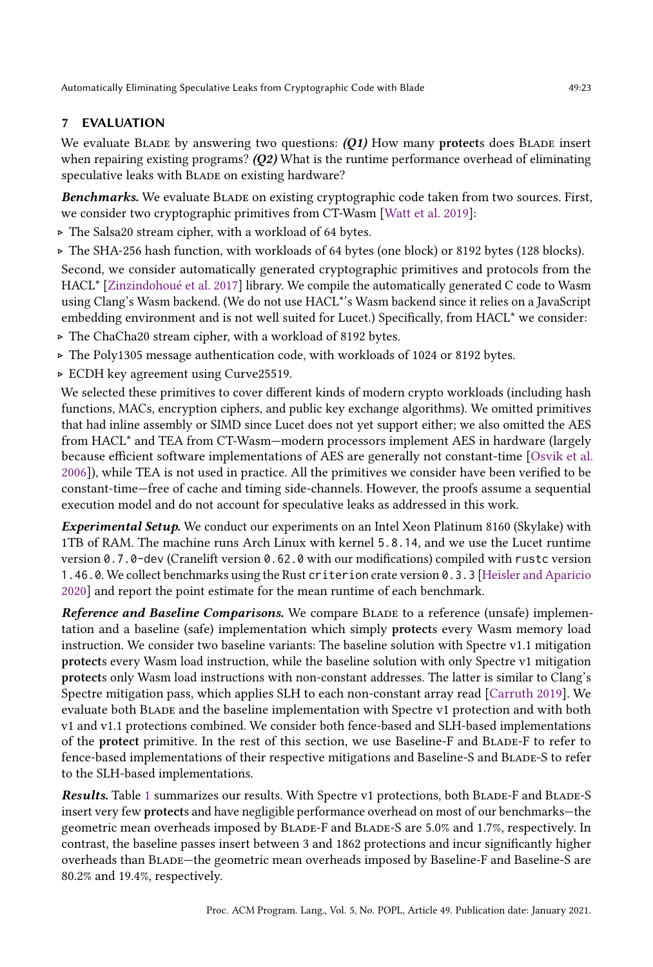# <span id="page-22-0"></span>7 EVALUATION

We evaluate BLADE by answering two questions:  $(01)$  How many protects does BLADE insert when repairing existing programs?  $(Q2)$  What is the runtime performance overhead of eliminating speculative leaks with BLADE on existing hardware?

Benchmarks. We evaluate BLADE on existing cryptographic code taken from two sources. First, we consider two cryptographic primitives from CT-Wasm [\[Watt et al.](#page-29-1) [2019\]](#page-29-1):

- ▷ The Salsa20 stream cipher, with a workload of 64 bytes.
- ▷ The SHA-256 hash function, with workloads of 64 bytes (one block) or 8192 bytes (128 blocks).

Second, we consider automatically generated cryptographic primitives and protocols from the HACL\* [\[Zinzindohoué et al.](#page-29-4) [2017\]](#page-29-4) library. We compile the automatically generated C code to Wasm using Clang's Wasm backend. (We do not use HACL\*'s Wasm backend since it relies on a JavaScript embedding environment and is not well suited for Lucet.) Specifically, from HACL<sup>\*</sup> we consider:

- ▷ The ChaCha20 stream cipher, with a workload of 8192 bytes.
- ▷ The Poly1305 message authentication code, with workloads of 1024 or 8192 bytes.
- ▷ ECDH key agreement using Curve25519.

We selected these primitives to cover different kinds of modern crypto workloads (including hash functions, MACs, encryption ciphers, and public key exchange algorithms). We omitted primitives that had inline assembly or SIMD since Lucet does not yet support either; we also omitted the AES from HACL\* and TEA from CT-Wasm—modern processors implement AES in hardware (largely because efficient software implementations of AES are generally not constant-time [\[Osvik et al.](#page-28-19) [2006\]](#page-28-19)), while TEA is not used in practice. All the primitives we consider have been verified to be constant-time—free of cache and timing side-channels. However, the proofs assume a sequential execution model and do not account for speculative leaks as addressed in this work.

Experimental Setup. We conduct our experiments on an Intel Xeon Platinum 8160 (Skylake) with 1TB of RAM. The machine runs Arch Linux with kernel 5.8.14, and we use the Lucet runtime version 0.7.0-dev (Cranelift version 0.62.0 with our modifications) compiled with rustc version 1.46.0. We collect benchmarks using the Rust criterion crate version 0.3.3 [\[Heisler and Aparicio](#page-27-19) [2020\]](#page-27-19) and report the point estimate for the mean runtime of each benchmark.

Reference and Baseline Comparisons. We compare BLADE to a reference (unsafe) implementation and a baseline (safe) implementation which simply protects every Wasm memory load instruction. We consider two baseline variants: The baseline solution with Spectre v1.1 mitigation protects every Wasm load instruction, while the baseline solution with only Spectre v1 mitigation protects only Wasm load instructions with non-constant addresses. The latter is similar to Clang's Spectre mitigation pass, which applies SLH to each non-constant array read [\[Carruth](#page-27-7) [2019\]](#page-27-7). We evaluate both Blade and the baseline implementation with Spectre v1 protection and with both v1 and v1.1 protections combined. We consider both fence-based and SLH-based implementations of the protect primitive. In the rest of this section, we use Baseline-F and Blade-F to refer to fence-based implementations of their respective mitigations and Baseline-S and Blade-S to refer to the SLH-based implementations.

Results. Table [1](#page-23-0) summarizes our results. With Spectre v1 protections, both BLADE-F and BLADE-S insert very few protects and have negligible performance overhead on most of our benchmarks—the geometric mean overheads imposed by Blade-F and Blade-S are 5.0% and 1.7%, respectively. In contrast, the baseline passes insert between 3 and 1862 protections and incur significantly higher overheads than Blade—the geometric mean overheads imposed by Baseline-F and Baseline-S are 80.2% and 19.4%, respectively.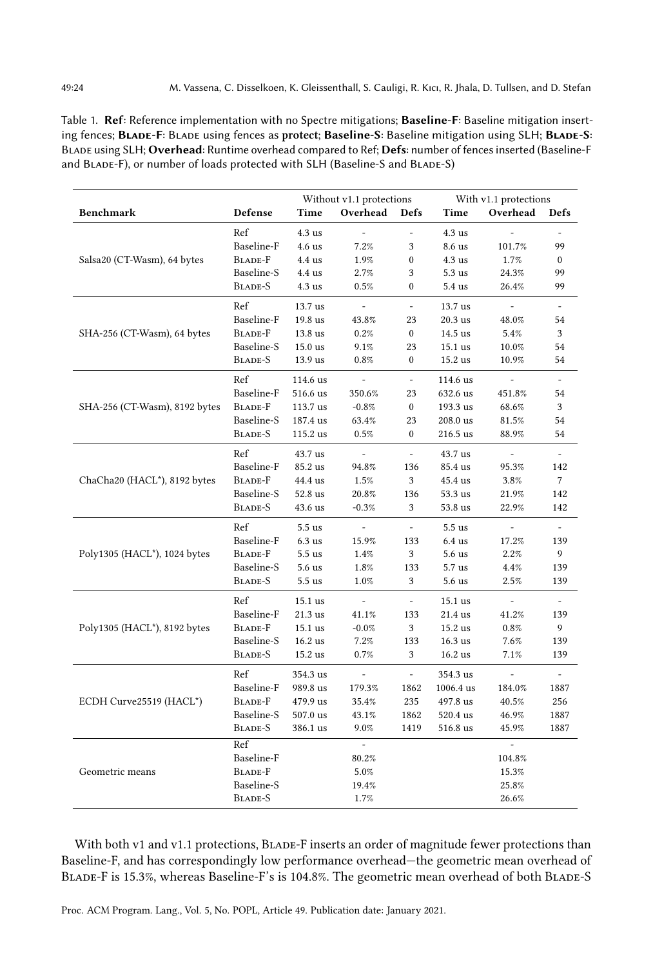<span id="page-23-0"></span>Table 1. Ref: Reference implementation with no Spectre mitigations; Baseline-F: Baseline mitigation inserting fences; BLADE-F: BLADE using fences as protect; Baseline-S: Baseline mitigation using SLH; BLADE-S: Blade using SLH; Overhead: Runtime overhead compared to Ref; Defs: number of fences inserted (Baseline-F and BLADE-F), or number of loads protected with SLH (Baseline-S and BLADE-S)

|                               |                       | Without v1.1 protections |                |                          | With v1.1 protections           |                     |                          |  |
|-------------------------------|-----------------------|--------------------------|----------------|--------------------------|---------------------------------|---------------------|--------------------------|--|
| <b>Benchmark</b>              | Defense               | Time                     | Overhead       | <b>Defs</b>              | Time<br>Overhead<br><b>Defs</b> |                     |                          |  |
|                               | Ref                   | 4.3us                    |                |                          | 4.3us                           |                     |                          |  |
|                               | Baseline-F            | 4.6 <sub>us</sub>        | 7.2%           | 3                        | 8.6 us                          | 101.7%              | 99                       |  |
| Salsa20 (CT-Wasm), 64 bytes   | BLADE-F               | $4.4$ us                 | 1.9%           | $\mathbf{0}$             | $4.3$ us                        | 1.7%                | $\mathbf{0}$             |  |
|                               | Baseline-S            | 4.4 us                   | 2.7%           | 3                        | 5.3us                           | 24.3%               | 99                       |  |
|                               | BLADE-S               | $4.3$ us                 | 0.5%           | $\boldsymbol{0}$         | 5.4 us                          | 26.4%               | 99                       |  |
|                               | Ref                   | 13.7 us                  | $\equiv$       | $\overline{\phantom{a}}$ | 13.7 us                         | $\blacksquare$      | $\overline{\phantom{a}}$ |  |
|                               | Baseline-F            | 19.8 us                  | 43.8%          | 23                       | 20.3 us                         | 48.0%               | 54                       |  |
| SHA-256 (CT-Wasm), 64 bytes   | BLADE-F               | 13.8 us                  | 0.2%           | $\boldsymbol{0}$         | 14.5 us                         | 5.4%                | 3                        |  |
|                               | Baseline-S            | $15.0$ us                | 9.1%           | 23                       | 15.1 us                         | 10.0%               | 54                       |  |
|                               | BLADE-S               | 13.9 us                  | 0.8%           | $\boldsymbol{0}$         | 15.2 us                         | 10.9%               | 54                       |  |
|                               | Ref                   | 114.6 us                 |                | $\frac{1}{2}$            | 114.6 us                        |                     |                          |  |
|                               | Baseline-F            | 516.6 us                 | 350.6%         | 23                       | 632.6 us                        | 451.8%              | 54                       |  |
| SHA-256 (CT-Wasm), 8192 bytes | BLADE-F               | 113.7 us                 | $-0.8%$        | $\boldsymbol{0}$         | 193.3 us                        | 68.6%               | 3                        |  |
|                               | Baseline-S            | 187.4 us                 | 63.4%          | 23                       | 208.0 us                        | 81.5%               | 54                       |  |
|                               | BLADE-S               | 115.2 us                 | 0.5%           | $\mathbf{0}$             | 216.5 us                        | 88.9%               | 54                       |  |
|                               | Ref                   | 43.7 us                  | $\equiv$       | $\mathbb{L}$             | 43.7 us                         | $\equiv$            | $\mathbf{r}$             |  |
|                               | Baseline-F            | 85.2 us                  | 94.8%          | 136                      | 85.4 us                         | 95.3%               | 142                      |  |
| ChaCha20 (HACL*), 8192 bytes  | BLADE-F               | 44.4 us                  | 1.5%           | 3                        | 45.4 us                         | 3.8%                | 7                        |  |
|                               | Baseline-S            | 52.8 us                  | 20.8%          | 136                      | 53.3 us                         | 21.9%               | 142                      |  |
|                               | BLADE-S               | 43.6 us                  | $-0.3%$        | 3                        | 53.8 us                         | 22.9%               | 142                      |  |
|                               | Ref                   | $5.5$ us                 | $\blacksquare$ | ÷,                       | $5.5$ us                        | $\bar{\phantom{a}}$ |                          |  |
| Poly1305 (HACL*), 1024 bytes  | Baseline-F            | 6.3us                    | 15.9%          | 133                      | $6.4$ us                        | 17.2%               | 139                      |  |
|                               | BLADE-F               | 5.5us                    | 1.4%           | 3                        | 5.6 <sub>us</sub>               | 2.2%                | 9                        |  |
|                               | Baseline-S            | 5.6 <sub>us</sub>        | 1.8%           | 133                      | $5.7$ us                        | 4.4%                | 139                      |  |
|                               | BLADE-S               | 5.5 <sub>us</sub>        | 1.0%           | 3                        | $5.6$ us                        | 2.5%                | 139                      |  |
|                               | Ref                   | 15.1 us                  | $\equiv$       | $\omega$                 | 15.1 us                         | $\sim$              | $\overline{\phantom{a}}$ |  |
|                               | Baseline-F            | 21.3 us                  | 41.1%          | 133                      | 21.4 us                         | 41.2%               | 139                      |  |
| Poly1305 (HACL*), 8192 bytes  | <b>BLADE-F</b>        | 15.1 us                  | $-0.0%$        | 3                        | 15.2 us                         | 0.8%                | 9                        |  |
|                               | Baseline-S            | 16.2 us                  | 7.2%           | 133                      | $16.3$ us                       | 7.6%                | 139                      |  |
|                               | BLADE-S               | 15.2 us                  | 0.7%           | 3                        | 16.2 us                         | 7.1%                | 139                      |  |
|                               | Ref                   | 354.3 us                 |                |                          | 354.3 us                        |                     |                          |  |
|                               | Baseline-F            | 989.8 us                 | 179.3%         | 1862                     | 1006.4 us                       | 184.0%              | 1887                     |  |
| ECDH Curve25519 (HACL*)       | <b>BLADE-F</b>        | 479.9 us                 | 35.4%          | 235                      | 497.8 us                        | 40.5%               | 256                      |  |
|                               | Baseline-S            | 507.0 us                 | 43.1%          | 1862                     | 520.4 us                        | 46.9%               | 1887                     |  |
|                               | BLADE-S               | 386.1 us                 | 9.0%           | 1419                     | 516.8 us                        | 45.9%               | 1887                     |  |
|                               | Ref                   |                          |                |                          |                                 |                     |                          |  |
|                               | Baseline-F            |                          | 80.2%          |                          | 104.8%                          |                     |                          |  |
| Geometric means               | <b>BLADE-F</b>        |                          | 5.0%           |                          |                                 | 15.3%               |                          |  |
|                               | Baseline-S<br>BLADE-S |                          | 19.4%          |                          |                                 | 25.8%               |                          |  |
|                               |                       |                          | 1.7%           |                          |                                 | 26.6%               |                          |  |

With both v1 and v1.1 protections, BLADE-F inserts an order of magnitude fewer protections than Baseline-F, and has correspondingly low performance overhead—the geometric mean overhead of Blade-F is 15.3%, whereas Baseline-F's is 104.8%. The geometric mean overhead of both Blade-S

Proc. ACM Program. Lang., Vol. 5, No. POPL, Article 49. Publication date: January 2021.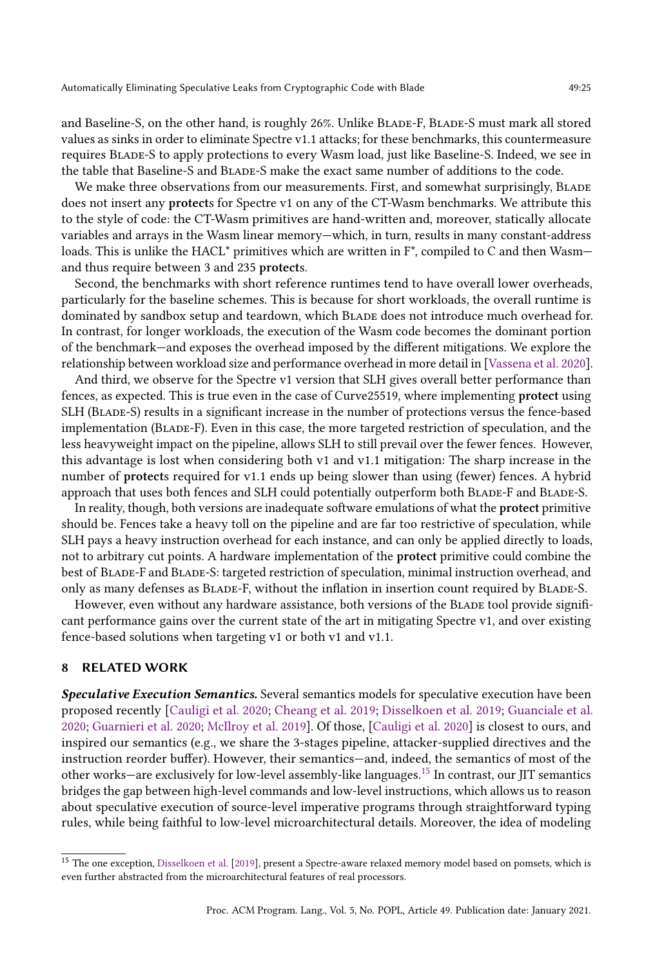and Baseline-S, on the other hand, is roughly 26%. Unlike BLADE-F, BLADE-S must mark all stored values as sinks in order to eliminate Spectre v1.1 attacks; for these benchmarks, this countermeasure requires Blade-S to apply protections to every Wasm load, just like Baseline-S. Indeed, we see in the table that Baseline-S and Blade-S make the exact same number of additions to the code.

We make three observations from our measurements. First, and somewhat surprisingly, BLADE does not insert any protects for Spectre v1 on any of the CT-Wasm benchmarks. We attribute this to the style of code: the CT-Wasm primitives are hand-written and, moreover, statically allocate variables and arrays in the Wasm linear memory—which, in turn, results in many constant-address loads. This is unlike the HACL<sup>\*</sup> primitives which are written in  $F^*$ , compiled to C and then Wasm and thus require between 3 and 235 protects.

Second, the benchmarks with short reference runtimes tend to have overall lower overheads, particularly for the baseline schemes. This is because for short workloads, the overall runtime is dominated by sandbox setup and teardown, which Blade does not introduce much overhead for. In contrast, for longer workloads, the execution of the Wasm code becomes the dominant portion of the benchmark—and exposes the overhead imposed by the different mitigations. We explore the relationship between workload size and performance overhead in more detail in [\[Vassena et al.](#page-29-6) [2020\]](#page-29-6).

And third, we observe for the Spectre v1 version that SLH gives overall better performance than fences, as expected. This is true even in the case of Curve25519, where implementing protect using SLH (Blade-S) results in a significant increase in the number of protections versus the fence-based implementation (Blade-F). Even in this case, the more targeted restriction of speculation, and the less heavyweight impact on the pipeline, allows SLH to still prevail over the fewer fences. However, this advantage is lost when considering both v1 and v1.1 mitigation: The sharp increase in the number of protects required for v1.1 ends up being slower than using (fewer) fences. A hybrid approach that uses both fences and SLH could potentially outperform both Blade-F and Blade-S.

In reality, though, both versions are inadequate software emulations of what the protect primitive should be. Fences take a heavy toll on the pipeline and are far too restrictive of speculation, while SLH pays a heavy instruction overhead for each instance, and can only be applied directly to loads, not to arbitrary cut points. A hardware implementation of the protect primitive could combine the best of Blade-F and Blade-S: targeted restriction of speculation, minimal instruction overhead, and only as many defenses as Blade-F, without the inflation in insertion count required by Blade-S.

However, even without any hardware assistance, both versions of the BLADE tool provide significant performance gains over the current state of the art in mitigating Spectre v1, and over existing fence-based solutions when targeting v1 or both v1 and v1.1.

# 8 RELATED WORK

Speculative Execution Semantics. Several semantics models for speculative execution have been proposed recently [\[Cauligi et al.](#page-27-5) [2020;](#page-27-5) [Cheang et al.](#page-27-17) [2019;](#page-27-17) [Disselkoen et al.](#page-27-20) [2019;](#page-27-20) [Guanciale et al.](#page-27-15) [2020;](#page-27-15) [Guarnieri et al.](#page-27-18) [2020;](#page-27-18) [McIlroy et al.](#page-28-14) [2019\]](#page-28-14). Of those, [\[Cauligi et al.](#page-27-5) [2020\]](#page-27-5) is closest to ours, and inspired our semantics (e.g., we share the 3-stages pipeline, attacker-supplied directives and the instruction reorder buffer). However, their semantics—and, indeed, the semantics of most of the other works—are exclusively for low-level assembly-like languages.[15](#page-24-0) In contrast, our JIT semantics bridges the gap between high-level commands and low-level instructions, which allows us to reason about speculative execution of source-level imperative programs through straightforward typing rules, while being faithful to low-level microarchitectural details. Moreover, the idea of modeling

<span id="page-24-0"></span><sup>&</sup>lt;sup>15</sup> The one exception, [Disselkoen et al.](#page-27-20) [\[2019\]](#page-27-20), present a Spectre-aware relaxed memory model based on pomsets, which is even further abstracted from the microarchitectural features of real processors.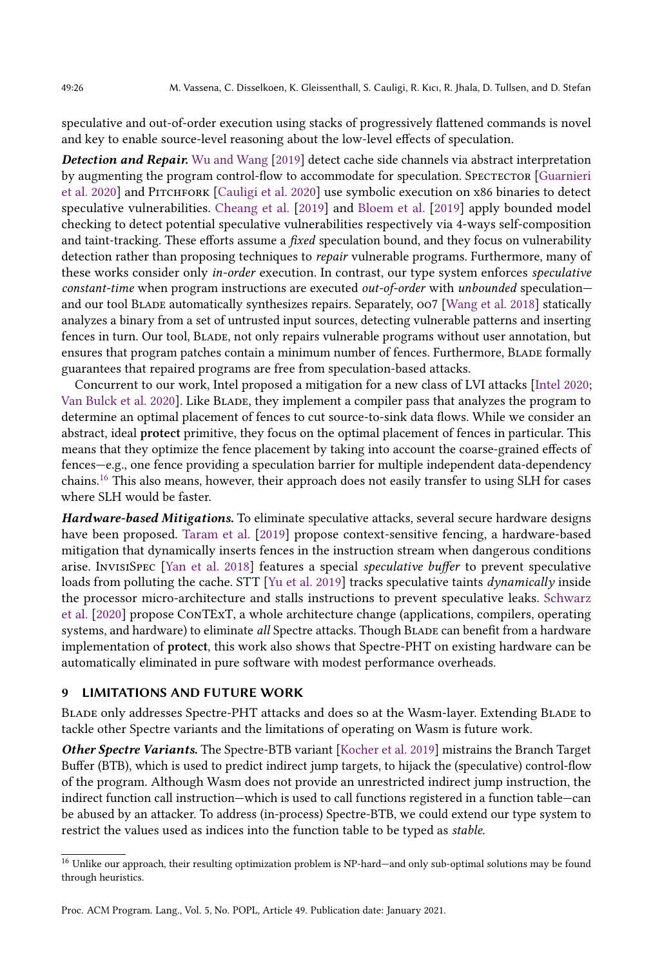speculative and out-of-order execution using stacks of progressively flattened commands is novel and key to enable source-level reasoning about the low-level effects of speculation.

**Detection and Repair.** [Wu and Wang](#page-29-8) [\[2019\]](#page-29-8) detect cache side channels via abstract interpretation by augmenting the program control-flow to accommodate for speculation. SPECTECTOR [\[Guarnieri](#page-27-18)] [et al.](#page-27-18) [2020\]](#page-27-5) and PITCHFORK [\[Cauligi et al.](#page-27-5) 2020] use symbolic execution on x86 binaries to detect speculative vulnerabilities. [Cheang et al.](#page-27-17) [\[2019\]](#page-27-17) and [Bloem et al.](#page-27-21) [\[2019\]](#page-27-21) apply bounded model checking to detect potential speculative vulnerabilities respectively via 4-ways self-composition and taint-tracking. These efforts assume a *fixed* speculation bound, and they focus on vulnerability detection rather than proposing techniques to *repair* vulnerable programs. Furthermore, many of these works consider only in-order execution. In contrast, our type system enforces speculative constant-time when program instructions are executed out-of-order with unbounded speculationand our tool BLADE automatically synthesizes repairs. Separately,  $oo7$  [\[Wang et al.](#page-29-2) [2018\]](#page-29-2) statically analyzes a binary from a set of untrusted input sources, detecting vulnerable patterns and inserting fences in turn. Our tool, Blade, not only repairs vulnerable programs without user annotation, but ensures that program patches contain a minimum number of fences. Furthermore, BLADE formally guarantees that repaired programs are free from speculation-based attacks.

Concurrent to our work, Intel proposed a mitigation for a new class of LVI attacks [\[Intel](#page-28-20) [2020;](#page-28-20) [Van Bulck et al.](#page-29-9) [2020\]](#page-29-9). Like BLADE, they implement a compiler pass that analyzes the program to determine an optimal placement of fences to cut source-to-sink data flows. While we consider an abstract, ideal protect primitive, they focus on the optimal placement of fences in particular. This means that they optimize the fence placement by taking into account the coarse-grained effects of fences—e.g., one fence providing a speculation barrier for multiple independent data-dependency chains.[16](#page-25-0) This also means, however, their approach does not easily transfer to using SLH for cases where SLH would be faster.

Hardware-based Mitigations. To eliminate speculative attacks, several secure hardware designs have been proposed. [Taram et al.](#page-28-5) [\[2019\]](#page-28-5) propose context-sensitive fencing, a hardware-based mitigation that dynamically inserts fences in the instruction stream when dangerous conditions arise. InvisiSpec [\[Yan et al.](#page-29-10) [2018\]](#page-29-10) features a special speculative buffer to prevent speculative loads from polluting the cache. STT [\[Yu et al.](#page-29-3) [2019\]](#page-29-3) tracks speculative taints *dynamically* inside the processor micro-architecture and stalls instructions to prevent speculative leaks. [Schwarz](#page-28-8) [et al.](#page-28-8) [\[2020\]](#page-28-8) propose ConTExT, a whole architecture change (applications, compilers, operating systems, and hardware) to eliminate all Spectre attacks. Though BLADE can benefit from a hardware implementation of protect, this work also shows that Spectre-PHT on existing hardware can be automatically eliminated in pure software with modest performance overheads.

# 9 LIMITATIONS AND FUTURE WORK

Blade only addresses Spectre-PHT attacks and does so at the Wasm-layer. Extending Blade to tackle other Spectre variants and the limitations of operating on Wasm is future work.

Other Spectre Variants. The Spectre-BTB variant [\[Kocher et al.](#page-28-4) [2019\]](#page-28-4) mistrains the Branch Target Buffer (BTB), which is used to predict indirect jump targets, to hijack the (speculative) control-flow of the program. Although Wasm does not provide an unrestricted indirect jump instruction, the indirect function call instruction—which is used to call functions registered in a function table—can be abused by an attacker. To address (in-process) Spectre-BTB, we could extend our type system to restrict the values used as indices into the function table to be typed as stable.

<span id="page-25-0"></span> $^{16}$  Unlike our approach, their resulting optimization problem is NP-hard—and only sub-optimal solutions may be found through heuristics.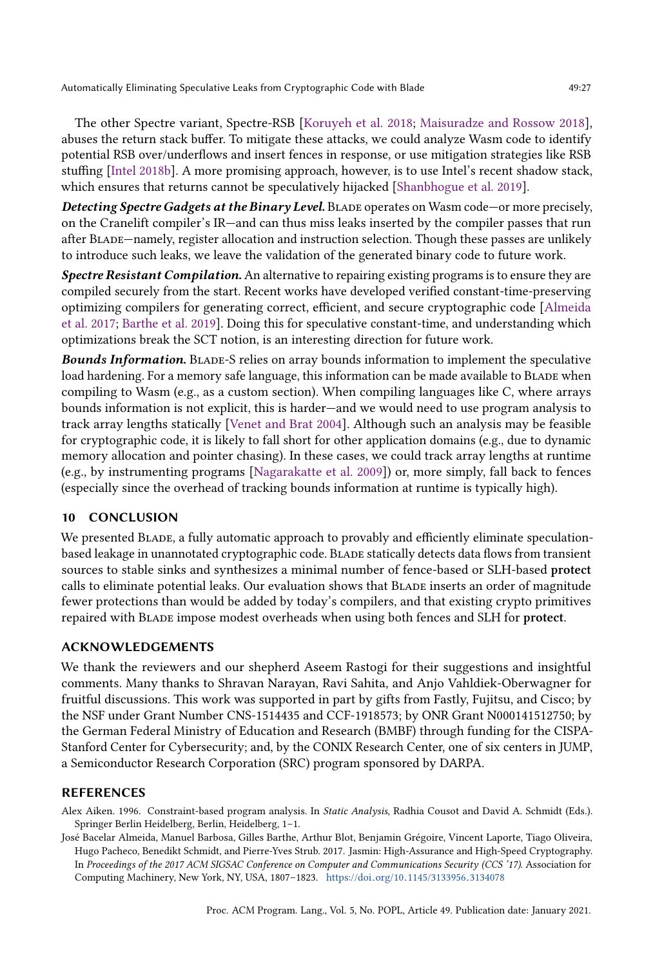The other Spectre variant, Spectre-RSB [\[Koruyeh et al.](#page-28-10) [2018;](#page-28-10) [Maisuradze and Rossow](#page-28-11) [2018\]](#page-28-11), abuses the return stack buffer. To mitigate these attacks, we could analyze Wasm code to identify potential RSB over/underflows and insert fences in response, or use mitigation strategies like RSB stuffing [\[Intel](#page-27-22) [2018b\]](#page-27-22). A more promising approach, however, is to use Intel's recent shadow stack, which ensures that returns cannot be speculatively hijacked [\[Shanbhogue et al.](#page-28-21) [2019\]](#page-28-21).

Detecting Spectre Gadgets at the Binary Level. BLADE operates on Wasm code-or more precisely, on the Cranelift compiler's IR—and can thus miss leaks inserted by the compiler passes that run after Blade—namely, register allocation and instruction selection. Though these passes are unlikely to introduce such leaks, we leave the validation of the generated binary code to future work.

Spectre Resistant Compilation. An alternative to repairing existing programs is to ensure they are compiled securely from the start. Recent works have developed verified constant-time-preserving optimizing compilers for generating correct, efficient, and secure cryptographic code [\[Almeida](#page-26-1) [et al.](#page-26-1) [2017;](#page-26-1) [Barthe et al.](#page-27-2) [2019\]](#page-27-2). Doing this for speculative constant-time, and understanding which optimizations break the SCT notion, is an interesting direction for future work.

Bounds Information. Blade-S relies on array bounds information to implement the speculative load hardening. For a memory safe language, this information can be made available to BLADE when compiling to Wasm (e.g., as a custom section). When compiling languages like C, where arrays bounds information is not explicit, this is harder—and we would need to use program analysis to track array lengths statically [\[Venet and Brat](#page-29-11) [2004\]](#page-29-11). Although such an analysis may be feasible for cryptographic code, it is likely to fall short for other application domains (e.g., due to dynamic memory allocation and pointer chasing). In these cases, we could track array lengths at runtime (e.g., by instrumenting programs [\[Nagarakatte et al.](#page-28-22) [2009\]](#page-28-22)) or, more simply, fall back to fences (especially since the overhead of tracking bounds information at runtime is typically high).

# 10 CONCLUSION

We presented BLADE, a fully automatic approach to provably and efficiently eliminate speculationbased leakage in unannotated cryptographic code. BLADE statically detects data flows from transient sources to stable sinks and synthesizes a minimal number of fence-based or SLH-based protect calls to eliminate potential leaks. Our evaluation shows that Blade inserts an order of magnitude fewer protections than would be added by today's compilers, and that existing crypto primitives repaired with Blade impose modest overheads when using both fences and SLH for protect.

# ACKNOWLEDGEMENTS

We thank the reviewers and our shepherd Aseem Rastogi for their suggestions and insightful comments. Many thanks to Shravan Narayan, Ravi Sahita, and Anjo Vahldiek-Oberwagner for fruitful discussions. This work was supported in part by gifts from Fastly, Fujitsu, and Cisco; by the NSF under Grant Number CNS-1514435 and CCF-1918573; by ONR Grant N000141512750; by the German Federal Ministry of Education and Research (BMBF) through funding for the CISPA-Stanford Center for Cybersecurity; and, by the CONIX Research Center, one of six centers in JUMP, a Semiconductor Research Corporation (SRC) program sponsored by DARPA.

#### REFERENCES

<span id="page-26-0"></span>Alex Aiken. 1996. Constraint-based program analysis. In Static Analysis, Radhia Cousot and David A. Schmidt (Eds.). Springer Berlin Heidelberg, Berlin, Heidelberg, 1–1.

<span id="page-26-1"></span>José Bacelar Almeida, Manuel Barbosa, Gilles Barthe, Arthur Blot, Benjamin Grégoire, Vincent Laporte, Tiago Oliveira, Hugo Pacheco, Benedikt Schmidt, and Pierre-Yves Strub. 2017. Jasmin: High-Assurance and High-Speed Cryptography. In Proceedings of the 2017 ACM SIGSAC Conference on Computer and Communications Security (CCS '17). Association for Computing Machinery, New York, NY, USA, 1807–1823. https://doi.org/10.[1145/3133956](https://doi.org/10.1145/3133956.3134078).<sup>3134078</sup>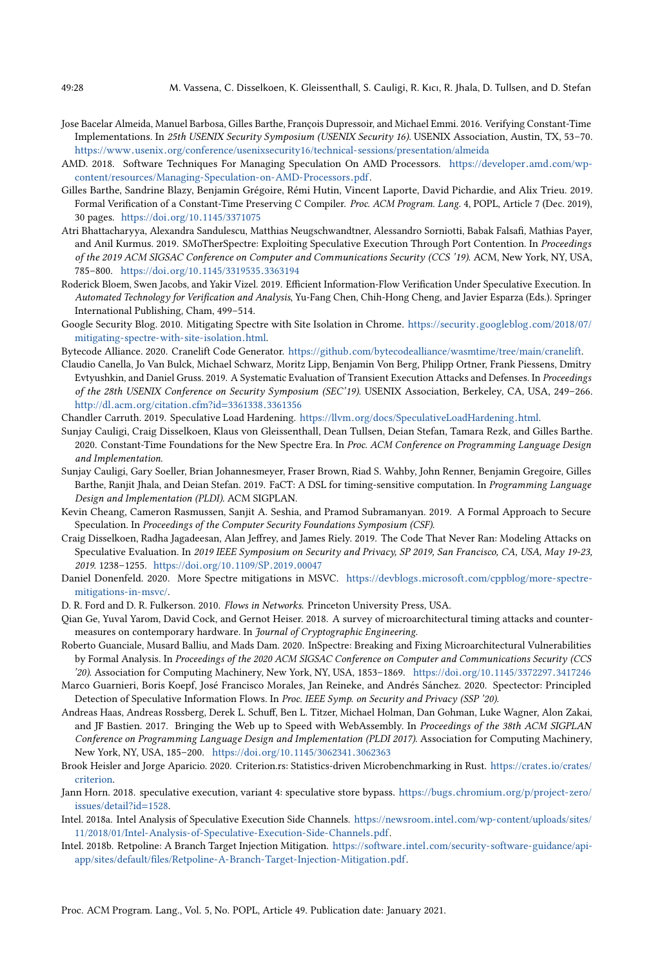- <span id="page-27-1"></span>Jose Bacelar Almeida, Manuel Barbosa, Gilles Barthe, François Dupressoir, and Michael Emmi. 2016. Verifying Constant-Time Implementations. In 25th USENIX Security Symposium (USENIX Security 16). USENIX Association, Austin, TX, 53–70. https://www.usenix.[org/conference/usenixsecurity16/technical-sessions/presentation/almeida](https://www.usenix.org/conference/usenixsecurity16/technical-sessions/presentation/almeida)
- <span id="page-27-11"></span>AMD. 2018. Software Techniques For Managing Speculation On AMD Processors. [https://developer](https://developer.amd.com/wp-content/resources/Managing-Speculation-on-AMD-Processors.pdf).amd.com/wp[content/resources/Managing-Speculation-on-AMD-Processors](https://developer.amd.com/wp-content/resources/Managing-Speculation-on-AMD-Processors.pdf).pdf.
- <span id="page-27-2"></span>Gilles Barthe, Sandrine Blazy, Benjamin Grégoire, Rémi Hutin, Vincent Laporte, David Pichardie, and Alix Trieu. 2019. Formal Verification of a Constant-Time Preserving C Compiler. Proc. ACM Program. Lang. 4, POPL, Article 7 (Dec. 2019), 30 pages. https://doi.org/10.[1145/3371075](https://doi.org/10.1145/3371075)
- <span id="page-27-14"></span>Atri Bhattacharyya, Alexandra Sandulescu, Matthias Neugschwandtner, Alessandro Sorniotti, Babak Falsafi, Mathias Payer, and Anil Kurmus. 2019. SMoTherSpectre: Exploiting Speculative Execution Through Port Contention. In Proceedings of the 2019 ACM SIGSAC Conference on Computer and Communications Security (CCS '19). ACM, New York, NY, USA, 785–800. https://doi.org/10.[1145/3319535](https://doi.org/10.1145/3319535.3363194).<sup>3363194</sup>
- <span id="page-27-21"></span>Roderick Bloem, Swen Jacobs, and Yakir Vizel. 2019. Efficient Information-Flow Verification Under Speculative Execution. In Automated Technology for Verification and Analysis, Yu-Fang Chen, Chih-Hong Cheng, and Javier Esparza (Eds.). Springer International Publishing, Cham, 499–514.
- <span id="page-27-4"></span>Google Security Blog. 2010. Mitigating Spectre with Site Isolation in Chrome. [https://security](https://security.googleblog.com/2018/07/mitigating-spectre-with-site-isolation.html).googleblog.com/2018/07/ [mitigating-spectre-with-site-isolation](https://security.googleblog.com/2018/07/mitigating-spectre-with-site-isolation.html).html.

<span id="page-27-8"></span>Bytecode Alliance. 2020. Cranelift Code Generator. https://github.[com/bytecodealliance/wasmtime/tree/main/cranelift.](https://github.com/bytecodealliance/wasmtime/tree/main/cranelift)

- <span id="page-27-6"></span>Claudio Canella, Jo Van Bulck, Michael Schwarz, Moritz Lipp, Benjamin Von Berg, Philipp Ortner, Frank Piessens, Dmitry Evtyushkin, and Daniel Gruss. 2019. A Systematic Evaluation of Transient Execution Attacks and Defenses. In Proceedings of the 28th USENIX Conference on Security Symposium (SEC'19). USENIX Association, Berkeley, CA, USA, 249–266. http://dl.acm.[org/citation](http://dl.acm.org/citation.cfm?id=3361338.3361356).cfm?id=3361338.<sup>3361356</sup>
- <span id="page-27-7"></span>Chandler Carruth. 2019. Speculative Load Hardening. https://llvm.[org/docs/SpeculativeLoadHardening](https://llvm.org/docs/SpeculativeLoadHardening.html).html.
- <span id="page-27-5"></span>Sunjay Cauligi, Craig Disselkoen, Klaus von Gleissenthall, Dean Tullsen, Deian Stefan, Tamara Rezk, and Gilles Barthe. 2020. Constant-Time Foundations for the New Spectre Era. In Proc. ACM Conference on Programming Language Design and Implementation.
- <span id="page-27-0"></span>Sunjay Cauligi, Gary Soeller, Brian Johannesmeyer, Fraser Brown, Riad S. Wahby, John Renner, Benjamin Gregoire, Gilles Barthe, Ranjit Jhala, and Deian Stefan. 2019. FaCT: A DSL for timing-sensitive computation. In Programming Language Design and Implementation (PLDI). ACM SIGPLAN.
- <span id="page-27-17"></span>Kevin Cheang, Cameron Rasmussen, Sanjit A. Seshia, and Pramod Subramanyan. 2019. A Formal Approach to Secure Speculation. In Proceedings of the Computer Security Foundations Symposium (CSF).
- <span id="page-27-20"></span>Craig Disselkoen, Radha Jagadeesan, Alan Jeffrey, and James Riely. 2019. The Code That Never Ran: Modeling Attacks on Speculative Evaluation. In 2019 IEEE Symposium on Security and Privacy, SP 2019, San Francisco, CA, USA, May 19-23, <sup>2019</sup>. 1238–1255. [https://doi](https://doi.org/10.1109/SP.2019.00047).org/10.1109/SP.2019.<sup>00047</sup>
- <span id="page-27-3"></span>Daniel Donenfeld. 2020. More Spectre mitigations in MSVC. https://devblogs.microsoft.[com/cppblog/more-spectre](https://devblogs.microsoft.com/cppblog/more-spectre-mitigations-in-msvc/)[mitigations-in-msvc/.](https://devblogs.microsoft.com/cppblog/more-spectre-mitigations-in-msvc/)
- <span id="page-27-12"></span>D. R. Ford and D. R. Fulkerson. 2010. Flows in Networks. Princeton University Press, USA.
- <span id="page-27-9"></span>Qian Ge, Yuval Yarom, David Cock, and Gernot Heiser. 2018. A survey of microarchitectural timing attacks and countermeasures on contemporary hardware. In Journal of Cryptographic Engineering.
- <span id="page-27-15"></span>Roberto Guanciale, Musard Balliu, and Mads Dam. 2020. InSpectre: Breaking and Fixing Microarchitectural Vulnerabilities by Formal Analysis. In Proceedings of the 2020 ACM SIGSAC Conference on Computer and Communications Security (CCS '20). Association for Computing Machinery, New York, NY, USA, 1853–1869. https://doi.org/10.[1145/3372297](https://doi.org/10.1145/3372297.3417246).<sup>3417246</sup>
- <span id="page-27-18"></span>Marco Guarnieri, Boris Koepf, José Francisco Morales, Jan Reineke, and Andrés Sánchez. 2020. Spectector: Principled Detection of Speculative Information Flows. In Proc. IEEE Symp. on Security and Privacy (SSP '20).
- <span id="page-27-16"></span>Andreas Haas, Andreas Rossberg, Derek L. Schuff, Ben L. Titzer, Michael Holman, Dan Gohman, Luke Wagner, Alon Zakai, and JF Bastien. 2017. Bringing the Web up to Speed with WebAssembly. In Proceedings of the 38th ACM SIGPLAN Conference on Programming Language Design and Implementation (PLDI 2017). Association for Computing Machinery, New York, NY, USA, 185–200. https://doi.org/10.[1145/3062341](https://doi.org/10.1145/3062341.3062363).<sup>3062363</sup>
- <span id="page-27-19"></span>Brook Heisler and Jorge Aparicio. 2020. Criterion.rs: Statistics-driven Microbenchmarking in Rust. [https://crates](https://crates.io/crates/criterion).io/crates/ [criterion.](https://crates.io/crates/criterion)
- <span id="page-27-13"></span>Jann Horn. 2018. speculative execution, variant 4: speculative store bypass. https://bugs.chromium.[org/p/project-zero/](https://bugs.chromium.org/p/project-zero/issues/detail?id=1528) [issues/detail?id](https://bugs.chromium.org/p/project-zero/issues/detail?id=1528)=1528.
- <span id="page-27-10"></span>Intel. 2018a. Intel Analysis of Speculative Execution Side Channels. https://newsroom.intel.[com/wp-content/uploads/sites/](https://newsroom.intel.com/wp-content/uploads/sites/11/2018/01/Intel-Analysis-of-Speculative-Execution-Side-Channels.pdf) [11/2018/01/Intel-Analysis-of-Speculative-Execution-Side-Channels](https://newsroom.intel.com/wp-content/uploads/sites/11/2018/01/Intel-Analysis-of-Speculative-Execution-Side-Channels.pdf).pdf.
- <span id="page-27-22"></span>Intel. 2018b. Retpoline: A Branch Target Injection Mitigation. https://software.intel.[com/security-software-guidance/api](https://software.intel.com/security-software-guidance/api-app/sites/default/files/Retpoline-A-Branch-Target-Injection-Mitigation.pdf)[app/sites/default/files/Retpoline-A-Branch-Target-Injection-Mitigation](https://software.intel.com/security-software-guidance/api-app/sites/default/files/Retpoline-A-Branch-Target-Injection-Mitigation.pdf).pdf.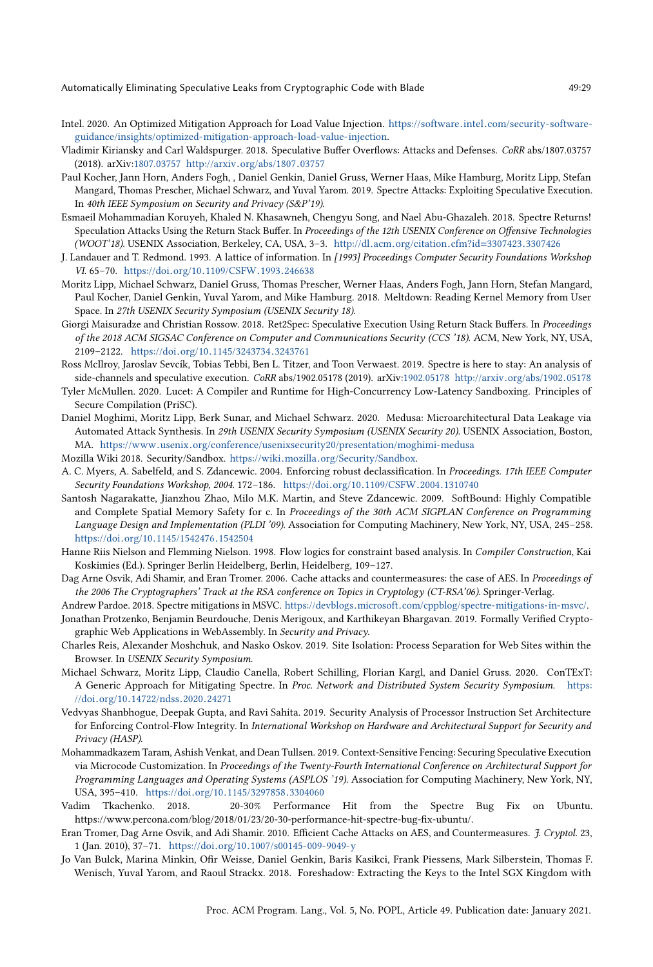- <span id="page-28-20"></span>Intel. 2020. An Optimized Mitigation Approach for Load Value Injection. https://software.intel.[com/security-software](https://software.intel.com/security-software-guidance/insights/optimized-mitigation-approach-load-value-injection)[guidance/insights/optimized-mitigation-approach-load-value-injection.](https://software.intel.com/security-software-guidance/insights/optimized-mitigation-approach-load-value-injection)
- <span id="page-28-3"></span>Vladimir Kiriansky and Carl Waldspurger. 2018. Speculative Buffer Overflows: Attacks and Defenses. CoRR abs/1807.03757 (2018). arXiv[:1807.03757](https://arxiv.org/abs/1807.03757) http://arxiv.[org/abs/1807](http://arxiv.org/abs/1807.03757).<sup>03757</sup>
- <span id="page-28-4"></span>Paul Kocher, Jann Horn, Anders Fogh, , Daniel Genkin, Daniel Gruss, Werner Haas, Mike Hamburg, Moritz Lipp, Stefan Mangard, Thomas Prescher, Michael Schwarz, and Yuval Yarom. 2019. Spectre Attacks: Exploiting Speculative Execution. In 40th IEEE Symposium on Security and Privacy (S&P'19).
- <span id="page-28-10"></span>Esmaeil Mohammadian Koruyeh, Khaled N. Khasawneh, Chengyu Song, and Nael Abu-Ghazaleh. 2018. Spectre Returns! Speculation Attacks Using the Return Stack Buffer. In Proceedings of the 12th USENIX Conference on Offensive Technologies (WOOT'18). USENIX Association, Berkeley, CA, USA, 3–3. http://dl.acm.[org/citation](http://dl.acm.org/citation.cfm?id=3307423.3307426).cfm?id=3307423.<sup>3307426</sup>
- <span id="page-28-16"></span>J. Landauer and T. Redmond. 1993. A lattice of information. In [1993] Proceedings Computer Security Foundations Workshop VI. 65–70. https://doi.org/10.[1109/CSFW](https://doi.org/10.1109/CSFW.1993.246638).1993.<sup>246638</sup>
- <span id="page-28-13"></span>Moritz Lipp, Michael Schwarz, Daniel Gruss, Thomas Prescher, Werner Haas, Anders Fogh, Jann Horn, Stefan Mangard, Paul Kocher, Daniel Genkin, Yuval Yarom, and Mike Hamburg. 2018. Meltdown: Reading Kernel Memory from User Space. In 27th USENIX Security Symposium (USENIX Security 18).
- <span id="page-28-11"></span>Giorgi Maisuradze and Christian Rossow. 2018. Ret2Spec: Speculative Execution Using Return Stack Buffers. In Proceedings of the 2018 ACM SIGSAC Conference on Computer and Communications Security (CCS '18). ACM, New York, NY, USA, 2109–2122. https://doi.org/10.[1145/3243734](https://doi.org/10.1145/3243734.3243761).<sup>3243761</sup>
- <span id="page-28-14"></span>Ross McIlroy, Jaroslav Sevcík, Tobias Tebbi, Ben L. Titzer, and Toon Verwaest. 2019. Spectre is here to stay: An analysis of side-channels and speculative execution. CoRR abs/1902.05178 (2019). arXiv[:1902.05178](https://arxiv.org/abs/1902.05178) http://arxiv.[org/abs/1902](http://arxiv.org/abs/1902.05178).<sup>05178</sup>
- <span id="page-28-18"></span>Tyler McMullen. 2020. Lucet: A Compiler and Runtime for High-Concurrency Low-Latency Sandboxing. Principles of Secure Compilation (PriSC).
- <span id="page-28-12"></span>Daniel Moghimi, Moritz Lipp, Berk Sunar, and Michael Schwarz. 2020. Medusa: Microarchitectural Data Leakage via Automated Attack Synthesis. In 29th USENIX Security Symposium (USENIX Security 20). USENIX Association, Boston, MA. https://www.usenix.[org/conference/usenixsecurity20/presentation/moghimi-medusa](https://www.usenix.org/conference/usenixsecurity20/presentation/moghimi-medusa)
- <span id="page-28-1"></span>Mozilla Wiki 2018. Security/Sandbox. https://wiki.mozilla.[org/Security/Sandbox.](https://wiki.mozilla.org/Security/Sandbox)
- <span id="page-28-17"></span>A. C. Myers, A. Sabelfeld, and S. Zdancewic. 2004. Enforcing robust declassification. In Proceedings. 17th IEEE Computer Security Foundations Workshop, 2004. 172–186. https://doi.org/10.[1109/CSFW](https://doi.org/10.1109/CSFW.2004.1310740).2004.<sup>1310740</sup>
- <span id="page-28-22"></span>Santosh Nagarakatte, Jianzhou Zhao, Milo M.K. Martin, and Steve Zdancewic. 2009. SoftBound: Highly Compatible and Complete Spatial Memory Safety for c. In Proceedings of the 30th ACM SIGPLAN Conference on Programming Language Design and Implementation (PLDI '09). Association for Computing Machinery, New York, NY, USA, 245–258. https://doi.org/10.[1145/1542476](https://doi.org/10.1145/1542476.1542504).<sup>1542504</sup>
- <span id="page-28-15"></span>Hanne Riis Nielson and Flemming Nielson. 1998. Flow logics for constraint based analysis. In Compiler Construction, Kai Koskimies (Ed.). Springer Berlin Heidelberg, Berlin, Heidelberg, 109–127.
- <span id="page-28-19"></span>Dag Arne Osvik, Adi Shamir, and Eran Tromer. 2006. Cache attacks and countermeasures: the case of AES. In Proceedings of the 2006 The Cryptographers' Track at the RSA conference on Topics in Cryptology (CT-RSA'06). Springer-Verlag.
- <span id="page-28-6"></span>Andrew Pardoe. 2018. Spectre mitigations in MSVC. https://devblogs.microsoft.[com/cppblog/spectre-mitigations-in-msvc/.](https://devblogs.microsoft.com/cppblog/spectre-mitigations-in-msvc/)
- <span id="page-28-0"></span>Jonathan Protzenko, Benjamin Beurdouche, Denis Merigoux, and Karthikeyan Bhargavan. 2019. Formally Verified Cryptographic Web Applications in WebAssembly. In Security and Privacy.
- <span id="page-28-2"></span>Charles Reis, Alexander Moshchuk, and Nasko Oskov. 2019. Site Isolation: Process Separation for Web Sites within the Browser. In USENIX Security Symposium.
- <span id="page-28-8"></span>Michael Schwarz, Moritz Lipp, Claudio Canella, Robert Schilling, Florian Kargl, and Daniel Gruss. 2020. ConTExT: A Generic Approach for Mitigating Spectre. In Proc. Network and Distributed System Security Symposium. [https:](https://doi.org/10.14722/ndss.2020.24271) //doi.org/10.[14722/ndss](https://doi.org/10.14722/ndss.2020.24271).2020.<sup>24271</sup>
- <span id="page-28-21"></span>Vedvyas Shanbhogue, Deepak Gupta, and Ravi Sahita. 2019. Security Analysis of Processor Instruction Set Architecture for Enforcing Control-Flow Integrity. In International Workshop on Hardware and Architectural Support for Security and Privacy (HASP).
- <span id="page-28-5"></span>Mohammadkazem Taram, Ashish Venkat, and Dean Tullsen. 2019. Context-Sensitive Fencing: Securing Speculative Execution via Microcode Customization. In Proceedings of the Twenty-Fourth International Conference on Architectural Support for Programming Languages and Operating Systems (ASPLOS '19). Association for Computing Machinery, New York, NY, USA, 395–410. https://doi.org/10.[1145/3297858](https://doi.org/10.1145/3297858.3304060).<sup>3304060</sup>
- <span id="page-28-7"></span>20-30% Performance Hit from the Spectre Bug Fix on Ubuntu. https://www.percona.com/blog/2018/01/23/20-30-performance-hit-spectre-bug-fix-ubuntu/.
- <span id="page-28-9"></span>Eran Tromer, Dag Arne Osvik, and Adi Shamir. 2010. Efficient Cache Attacks on AES, and Countermeasures. J. Cryptol. 23, 1 (Jan. 2010), 37–71. https://doi.org/10.[1007/s00145-009-9049-y](https://doi.org/10.1007/s00145-009-9049-y)
- <span id="page-28-23"></span>Jo Van Bulck, Marina Minkin, Ofir Weisse, Daniel Genkin, Baris Kasikci, Frank Piessens, Mark Silberstein, Thomas F. Wenisch, Yuval Yarom, and Raoul Strackx. 2018. Foreshadow: Extracting the Keys to the Intel SGX Kingdom with